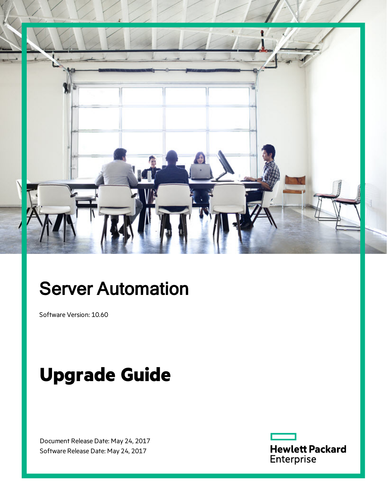

# Server Automation

Software Version: 10.60

# **Upgrade Guide**

Document Release Date: May 24, 2017 Software Release Date: May 24, 2017

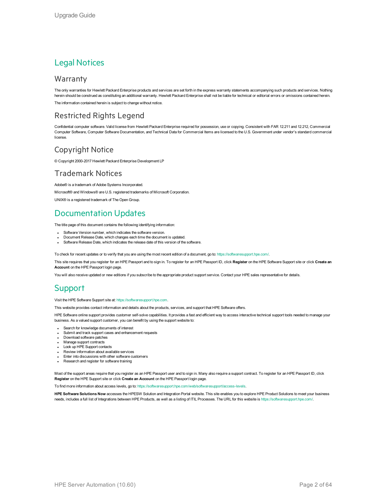### Legal Notices

### Warranty

The only warranties for Hewlett Packard Enterprise products and services are set forth in the express warranty statements accompanying such products and services. Nothing herein should be construed as constituting an additional warranty. Hewlett Packard Enterprise shall not be liable for technical or editorial errors or omissions contained herein. The information contained herein is subject to change without notice.

### Restricted Rights Legend

Confidential computer software. Valid license from Hewlett Packard Enterprise required for possession, use or copying. Consistent with FAR 12.211 and 12.212, Commercial Computer Software, Computer Software Documentation, and Technical Data for Commercial Items are licensed to the U.S. Government under vendor's standard commercial license.

### Copyright Notice

© Copyright 2000-2017 Hewlett Packard Enterprise Development LP

### Trademark Notices

Adobe® is a trademark of Adobe Systems Incorporated.

Microsoft® and Windows® are U.S. registered trademarks of Microsoft Corporation.

UNIX® is a registered trademark of The Open Group.

### Documentation Updates

The title page of this document contains the following identifying information:

- **Software Version number, which indicates the software version.**
- Document Release Date, which changes each time the document is updated.
- Software Release Date, which indicates the release date of this version of the software.

To check for recent updates or to verify that you are using the most recent edition of a document, go to: <https://softwaresupport.hpe.com/>.

This site requires that you register for an HPE Passport and to sign in. To register for an HPE Passport ID, click **Register** on the HPE Software Support site or click **Create an Account** on the HPE Passport login page.

You will also receive updated or new editions if you subscribe to the appropriate product support service. Contact your HPE sales representative for details.

### **Support**

#### Visit the HPE Software Support site at: [https://softwaresupport.hpe.com.](https://softwaresupport.hpe.com/)

This website provides contact information and details about the products, services, and support that HPE Software offers.

HPE Software online support provides customer self-solve capabilities. It provides a fast and efficient way to access interactive technical support tools needed to manage your business. As a valued support customer, you can benefit by using the support website to:

- Search for knowledge documents of interest
- Submit and track support cases and enhancement requests
- Download software patches
- Manage support contracts
- Look up HPE Support contacts
- Review information about available services
- Enter into discussions with other software customers
- Research and register for software training

Most of the support areas require that you register as an HPE Passport user and to sign in. Many also require a support contract. To register for an HPE Passport ID, click **Register** on the HPE Support site or click **Create an Account** on the HPE Passport login page.

To find more information about access levels, go to: <https://softwaresupport.hpe.com/web/softwaresupport/access-levels>.

**HPE Software Solutions Now** accesses the HPESW Solution and Integration Portal website. This site enables you to explore HPE Product Solutions to meet your business needs, includes a full list of Integrations between HPE Products, as well as a listing of ITIL Processes. The URL for this website is <https://softwaresupport.hpe.com/>.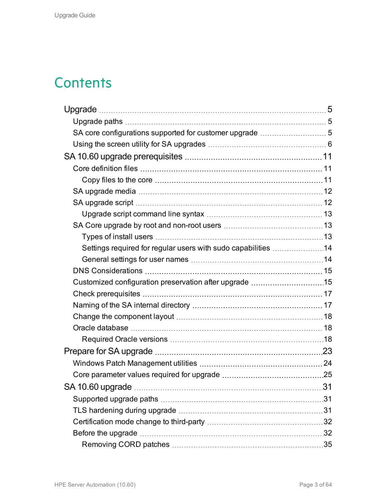# **Contents**

| Settings required for regular users with sudo capabilities 14 |  |
|---------------------------------------------------------------|--|
|                                                               |  |
|                                                               |  |
| Customized configuration preservation after upgrade 15        |  |
|                                                               |  |
|                                                               |  |
|                                                               |  |
|                                                               |  |
|                                                               |  |
|                                                               |  |
|                                                               |  |
|                                                               |  |
|                                                               |  |
|                                                               |  |
|                                                               |  |
|                                                               |  |
|                                                               |  |
|                                                               |  |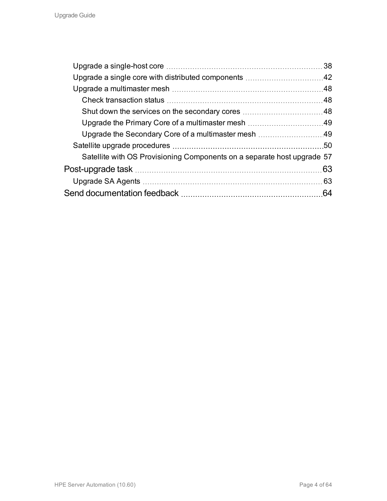|                                                                         | 38  |
|-------------------------------------------------------------------------|-----|
|                                                                         |     |
|                                                                         |     |
|                                                                         |     |
|                                                                         |     |
|                                                                         |     |
|                                                                         |     |
|                                                                         |     |
| Satellite with OS Provisioning Components on a separate host upgrade 57 |     |
|                                                                         | 63  |
|                                                                         | .63 |
|                                                                         | 64  |
|                                                                         |     |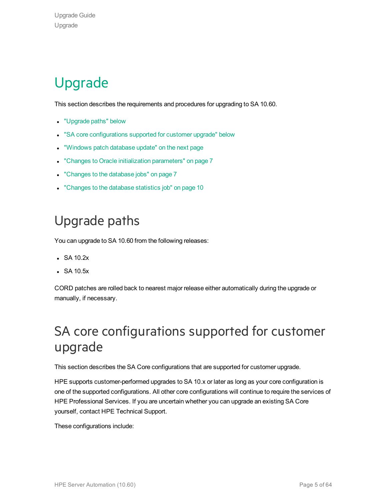# <span id="page-4-0"></span>Upgrade

This section describes the requirements and procedures for upgrading to SA 10.60.

- ["Upgrade](#page-4-1) paths" below
- . "SA core [configurations](#page-4-2) supported for customer upgrade" below
- . ["Windows](#page-5-1) patch database update" on the next page
- "Changes to Oracle initialization [parameters"](#page-6-0) on page 7
- ["Changes](#page-6-1) to the database jobs" on page 7
- ["Changes](#page-9-0) to the database statistics job" on page 10

# <span id="page-4-1"></span>Upgrade paths

You can upgrade to SA 10.60 from the following releases:

- $\bullet$  SA 10.2x
- $\bullet$  SA 10.5 $x$

<span id="page-4-2"></span>CORD patches are rolled back to nearest major release either automatically during the upgrade or manually, if necessary.

## SA core configurations supported for customer upgrade

This section describes the SA Core configurations that are supported for customer upgrade.

HPE supports customer-performed upgrades to SA 10.x or later as long as your core configuration is one of the supported configurations. All other core configurations will continue to require the services of HPE Professional Services. If you are uncertain whether you can upgrade an existing SA Core yourself, contact HPE Technical Support.

These configurations include: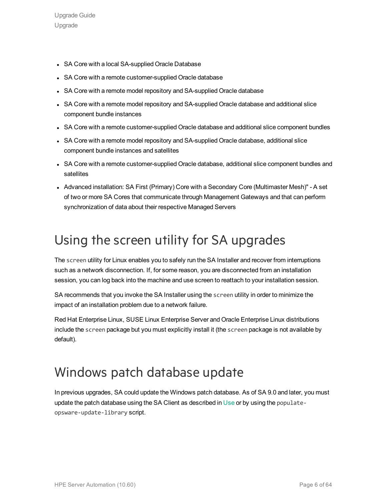- SA Core with a local SA-supplied Oracle Database
- SA Core with a remote customer-supplied Oracle database
- SA Core with a remote model repository and SA-supplied Oracle database
- SA Core with a remote model repository and SA-supplied Oracle database and additional slice component bundle instances
- SA Core with a remote customer-supplied Oracle database and additional slice component bundles
- SA Core with a remote model repository and SA-supplied Oracle database, additional slice component bundle instances and satellites
- SA Core with a remote customer-supplied Oracle database, additional slice component bundles and satellites
- Advanced installation: SA First (Primary) Core with a Secondary Core (Multimaster Mesh)" A set of two or more SA Cores that communicate through Management Gateways and that can perform synchronization of data about their respective Managed Servers

# <span id="page-5-0"></span>Using the screen utility for SA upgrades

The screen utility for Linux enables you to safely run the SA Installer and recover from interruptions such as a network disconnection. If, for some reason, you are disconnected from an installation session, you can log back into the machine and use screen to reattach to your installation session.

SA recommends that you invoke the SA Installer using the screen utility in order to minimize the impact of an installation problem due to a network failure.

Red Hat Enterprise Linux, SUSE Linux Enterprise Server and Oracle Enterprise Linux distributions include the screen package but you must explicitly install it (the screen package is not available by default).

## <span id="page-5-1"></span>Windows patch database update

In previous upgrades, SA could update the Windows patch database. As of SA 9.0 and later, you must update the patch database using the SA Client as described in Use or by using the populateopsware-update-library script.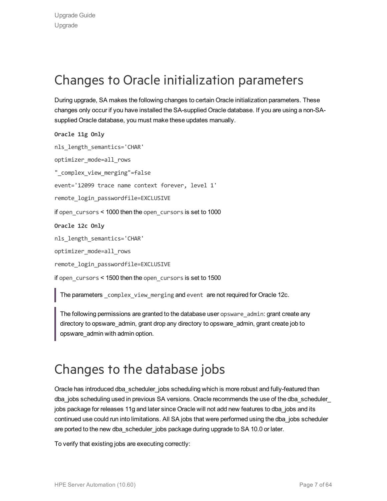# <span id="page-6-0"></span>Changes to Oracle initialization parameters

During upgrade, SA makes the following changes to certain Oracle initialization parameters. These changes only occur if you have installed the SA-supplied Oracle database. If you are using a non-SAsupplied Oracle database, you must make these updates manually.

```
Oracle 11g Only
nls length semantics='CHAR'
optimizer_mode=all_rows
"_complex_view_merging"=false
event='12099 trace name context forever, level 1'
remote login passwordfile=EXCLUSIVE
if open_cursors < 1000 then the open_cursors is set to 1000
Oracle 12c Only
nls_length_semantics='CHAR'
optimizer_mode=all_rows
remote login passwordfile=EXCLUSIVE
if open cursors < 1500 then the open cursors is set to 1500
```
The parameters complex view merging and event are not required for Oracle 12c.

The following permissions are granted to the database user opsware admin: grant create any directory to opsware\_admin, grant drop any directory to opsware\_admin, grant create job to opsware\_admin with admin option.

# <span id="page-6-1"></span>Changes to the database jobs

Oracle has introduced dba\_scheduler\_jobs scheduling which is more robust and fully-featured than dba\_jobs scheduling used in previous SA versions. Oracle recommends the use of the dba\_scheduler\_ jobs package for releases 11g and later since Oracle will not add new features to dba\_jobs and its continued use could run into limitations. All SA jobs that were performed using the dba\_jobs scheduler are ported to the new dba\_scheduler\_jobs package during upgrade to SA 10.0 or later.

To verify that existing jobs are executing correctly: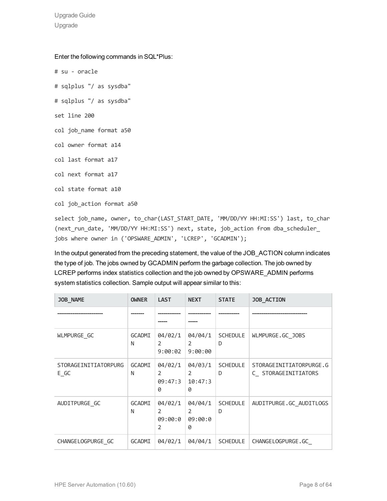Upgrade Guide Upgrade

Enter the following commands in SQL\*Plus:

- # su oracle
- # sqlplus "/ as sysdba"
- # sqlplus "/ as sysdba"
- set line 200
- col job name format a50
- col owner format a14
- col last format a17
- col next format a17
- col state format a10
- col job action format a50

select job\_name, owner, to\_char(LAST\_START\_DATE, 'MM/DD/YY HH:MI:SS') last, to\_char (next\_run\_date, 'MM/DD/YY HH:MI:SS') next, state, job\_action from dba\_scheduler\_ jobs where owner in ('OPSWARE\_ADMIN', 'LCREP', 'GCADMIN');

In the output generated from the preceding statement, the value of the JOB\_ACTION column indicates the type of job. The jobs owned by GCADMIN perform the garbage collection. The job owned by LCREP performs index statistics collection and the job owned by OPSWARE\_ADMIN performs system statistics collection. Sample output will appear similar to this:

| <b>JOB_NAME</b>               | <b>OWNER</b>       | <b>LAST</b>                              | <b>NEXT</b>                               | <b>STATE</b>         | <b>JOB_ACTION</b>                              |
|-------------------------------|--------------------|------------------------------------------|-------------------------------------------|----------------------|------------------------------------------------|
|                               |                    |                                          |                                           |                      |                                                |
| WLMPURGE_GC                   | <b>GCADMI</b><br>N | 04/02/1<br>2<br>9:00:02                  | 04/04/1<br>2<br>9:00:00                   | <b>SCHEDULE</b><br>D | WLMPURGE.GC JOBS                               |
| STORAGEINITIATORPURG<br>$E_G$ | <b>GCADMI</b><br>N | 04/02/1<br>2<br>09:47:3<br>0             | 04/03/1<br>2<br>10:47:3<br>0              | <b>SCHEDULE</b><br>D | STORAGEINITIATORPURGE.G<br>C STORAGEINITIATORS |
| AUDITPURGE GC                 | <b>GCADMI</b><br>N | 04/02/1<br>$\mathcal{P}$<br>09:00:0<br>2 | 04/04/1<br>$\overline{2}$<br>09:00:0<br>0 | <b>SCHEDULE</b><br>D | AUDITPURGE.GC AUDITLOGS                        |
| CHANGE LOGPURGE GC            | <b>GCADMI</b>      | 04/02/1                                  | 04/04/1                                   | <b>SCHEDULE</b>      | CHANGELOGPURGE.GC                              |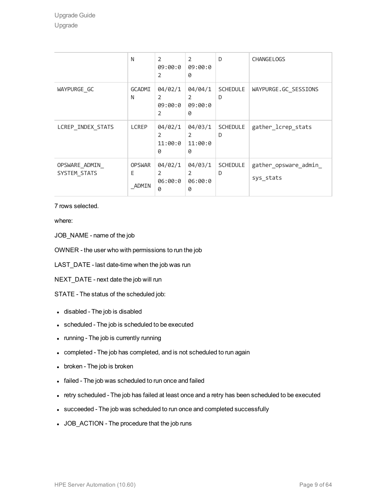|                               | N                           | 2<br>09:00:0<br>$\overline{2}$            | 2<br>09:00:0<br>0                        | D                    | <b>CHANGELOGS</b>                  |
|-------------------------------|-----------------------------|-------------------------------------------|------------------------------------------|----------------------|------------------------------------|
| WAYPURGE GC                   | <b>GCADMI</b><br>N          | 04/02/1<br>$\overline{2}$<br>09:00:0<br>2 | 04/04/1<br>2<br>09:00:0<br>0             | <b>SCHEDULE</b><br>D | WAYPURGE.GC SESSIONS               |
| LCREP INDEX STATS             | <b>LCREP</b>                | 04/02/1<br>$\overline{2}$<br>11:00:0<br>0 | 04/03/1<br>$\mathcal{P}$<br>11:00:0<br>0 | <b>SCHEDULE</b><br>D | gather_lcrep_stats                 |
| OPSWARE_ADMIN<br>SYSTEM STATS | <b>OPSWAR</b><br>E<br>ADMIN | 04/02/1<br>$\overline{2}$<br>06:00:0<br>0 | 04/03/1<br>$\mathcal{P}$<br>06:00:0<br>0 | <b>SCHEDULE</b><br>D | gather_opsware_admin_<br>sys_stats |

7 rows selected.

where:

JOB\_NAME - name of the job

OWNER - the user who with permissions to run the job

LAST\_DATE - last date-time when the job was run

NEXT\_DATE - next date the job will run

STATE - The status of the scheduled job:

- disabled The job is disabled
- scheduled The job is scheduled to be executed
- running The job is currently running
- completed The job has completed, and is not scheduled to run again
- broken The job is broken
- failed The job was scheduled to run once and failed
- retry scheduled The job has failed at least once and a retry has been scheduled to be executed
- succeeded The job was scheduled to run once and completed successfully
- JOB\_ACTION The procedure that the job runs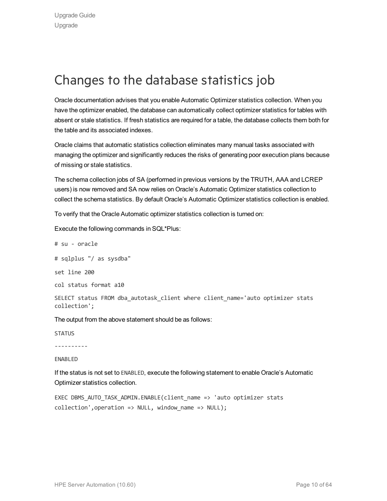# <span id="page-9-0"></span>Changes to the database statistics job

Oracle documentation advises that you enable Automatic Optimizer statistics collection. When you have the optimizer enabled, the database can automatically collect optimizer statistics for tables with absent or stale statistics. If fresh statistics are required for a table, the database collects them both for the table and its associated indexes.

Oracle claims that automatic statistics collection eliminates many manual tasks associated with managing the optimizer and significantly reduces the risks of generating poor execution plans because of missing or stale statistics.

The schema collection jobs of SA (performed in previous versions by the TRUTH, AAA and LCREP users) is now removed and SA now relies on Oracle's Automatic Optimizer statistics collection to collect the schema statistics. By default Oracle's Automatic Optimizer statistics collection is enabled.

To verify that the Oracle Automatic optimizer statistics collection is turned on:

Execute the following commands in SQL\*Plus:

# su - oracle

# sqlplus "/ as sysdba"

set line 200

col status format a10

SELECT status FROM dba autotask client where client name='auto optimizer stats collection';

The output from the above statement should be as follows:

**STATUS** 

----------

ENABLED

If the status is not set to ENABLED, execute the following statement to enable Oracle's Automatic Optimizer statistics collection.

EXEC DBMS AUTO TASK ADMIN.ENABLE(client name => 'auto optimizer stats  $collection'$ , operation => NULL, window name => NULL);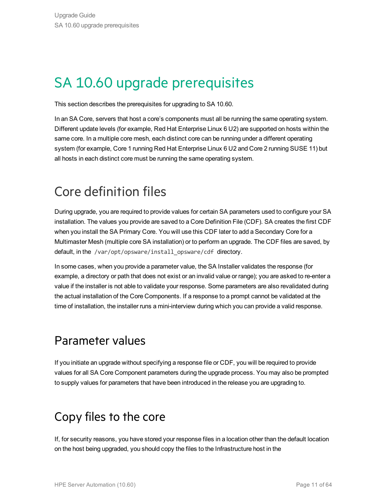# <span id="page-10-0"></span>SA 10.60 upgrade prerequisites

This section describes the prerequisites for upgrading to SA 10.60.

In an SA Core, servers that host a core's components must all be running the same operating system. Different update levels (for example, Red Hat Enterprise Linux 6 U2) are supported on hosts within the same core. In a multiple core mesh, each distinct core can be running under a different operating system (for example, Core 1 running Red Hat Enterprise Linux 6 U2 and Core 2 running SUSE 11) but all hosts in each distinct core must be running the same operating system.

# <span id="page-10-1"></span>Core definition files

During upgrade, you are required to provide values for certain SA parameters used to configure your SA installation. The values you provide are saved to a Core Definition File (CDF). SA creates the first CDF when you install the SA Primary Core. You will use this CDF later to add a Secondary Core for a Multimaster Mesh (multiple core SA installation) or to perform an upgrade. The CDF files are saved, by default, in the /var/opt/opsware/install\_opsware/cdf\_directory.

In some cases, when you provide a parameter value, the SA Installer validates the response (for example, a directory or path that does not exist or an invalid value or range); you are asked to re-enter a value if the installer is not able to validate your response. Some parameters are also revalidated during the actual installation of the Core Components. If a response to a prompt cannot be validated at the time of installation, the installer runs a mini-interview during which you can provide a valid response.

### Parameter values

If you initiate an upgrade without specifying a response file or CDF, you will be required to provide values for all SA Core Component parameters during the upgrade process. You may also be prompted to supply values for parameters that have been introduced in the release you are upgrading to.

# <span id="page-10-2"></span>Copy files to the core

If, for security reasons, you have stored your response files in a location other than the default location on the host being upgraded, you should copy the files to the Infrastructure host in the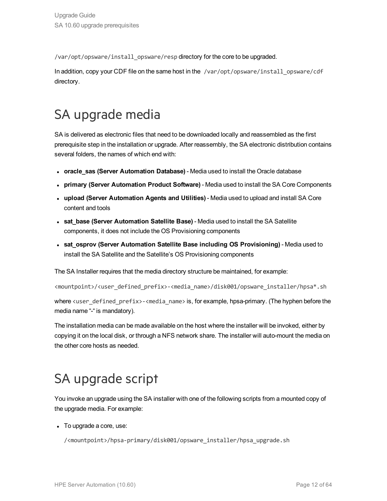/var/opt/opsware/install\_opsware/resp directory for the core to be upgraded.

In addition, copy your CDF file on the same host in the /var/opt/opsware/install\_opsware/cdf directory.

# <span id="page-11-0"></span>SA upgrade media

SA is delivered as electronic files that need to be downloaded locally and reassembled as the first prerequisite step in the installation or upgrade. After reassembly, the SA electronic distribution contains several folders, the names of which end with:

- **oracle sas (Server Automation Database)** Media used to install the Oracle database
- <sup>l</sup> **primary (Server Automation Product Software)** Media used to install the SA Core Components
- <sup>l</sup> **upload (Server Automation Agents and Utilities)** Media used to upload and install SA Core content and tools
- <sup>l</sup> **sat\_base (Server Automation Satellite Base)** Media used to install the SA Satellite components, it does not include the OS Provisioning components
- <sup>l</sup> **sat\_osprov (Server Automation Satellite Base including OS Provisioning)** Media used to install the SA Satellite and the Satellite's OS Provisioning components

The SA Installer requires that the media directory structure be maintained, for example:

<mountpoint>/<user\_defined\_prefix>-<media\_name>/disk001/opsware\_installer/hpsa\*.sh

where <user\_defined\_prefix>-<media\_name> is, for example, hpsa-primary. (The hyphen before the media name "-" is mandatory).

The installation media can be made available on the host where the installer will be invoked, either by copying it on the local disk, or through a NFS network share. The installer will auto-mount the media on the other core hosts as needed.

# <span id="page-11-1"></span>SA upgrade script

You invoke an upgrade using the SA installer with one of the following scripts from a mounted copy of the upgrade media. For example:

 $\bullet$  To upgrade a core, use:

/<mountpoint>/hpsa-primary/disk001/opsware\_installer/hpsa\_upgrade.sh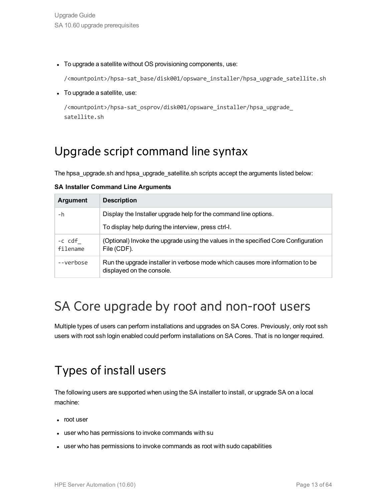• To upgrade a satellite without OS provisioning components, use:

/<mountpoint>/hpsa-sat\_base/disk001/opsware\_installer/hpsa\_upgrade\_satellite.sh

• To upgrade a satellite, use:

```
/<mountpoint>/hpsa-sat_osprov/disk001/opsware_installer/hpsa_upgrade_
satellite.sh
```
### Upgrade script command line syntax

The hpsa\_upgrade.sh and hpsa\_upgrade\_satellite.sh scripts accept the arguments listed below:

| <b>Argument</b>    | <b>Description</b>                                                                  |  |
|--------------------|-------------------------------------------------------------------------------------|--|
| -h                 | Display the Installer upgrade help for the command line options.                    |  |
|                    | To display help during the interview, press ctrl-l.                                 |  |
| -c cdf<br>filename | (Optional) Invoke the upgrade using the values in the specified Core<br>File (CDF). |  |

**SA Installer Command Line Arguments**

# <span id="page-12-1"></span>SA Core upgrade by root and non-root users

--verbose Run the upgrade installer in verbose mode which causes more information to be

<span id="page-12-2"></span>Multiple types of users can perform installations and upgrades on SA Cores. Previously, only root ssh users with root ssh login enabled could perform installations on SA Cores. That is no longer required.

## Types of install users

The following users are supported when using the SA installer to install, or upgrade SA on a local machine:

- root user
- user who has permissions to invoke commands with su

displayed on the console.

• user who has permissions to invoke commands as root with sudo capabilities

Configuration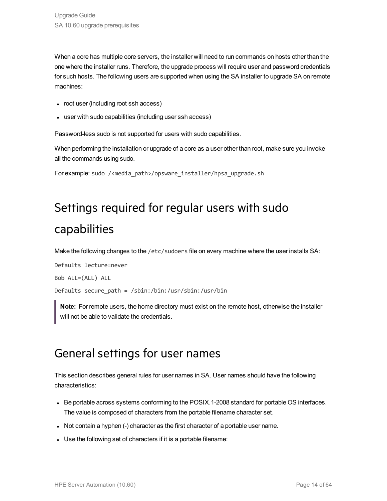When a core has multiple core servers, the installer will need to run commands on hosts other than the one where the installer runs. Therefore, the upgrade process will require user and password credentials for such hosts. The following users are supported when using the SA installer to upgrade SA on remote machines:

- root user (including root ssh access)
- user with sudo capabilities (including user ssh access)

Password-less sudo is not supported for users with sudo capabilities.

When performing the installation or upgrade of a core as a user other than root, make sure you invoke all the commands using sudo.

<span id="page-13-0"></span>For example: sudo /<media\_path>/opsware\_installer/hpsa\_upgrade.sh

# Settings required for regular users with sudo capabilities

Make the following changes to the /etc/sudoers file on every machine where the user installs SA:

Defaults lecture=never Bob ALL=(ALL) ALL Defaults secure\_path = /sbin:/bin:/usr/sbin:/usr/bin

<span id="page-13-1"></span>**Note:** For remote users, the home directory must exist on the remote host, otherwise the installer will not be able to validate the credentials.

### General settings for user names

This section describes general rules for user names in SA. User names should have the following characteristics:

- Be portable across systems conforming to the POSIX.1-2008 standard for portable OS interfaces. The value is composed of characters from the portable filename character set.
- Not contain a hyphen (-) character as the first character of a portable user name.
- Use the following set of characters if it is a portable filename: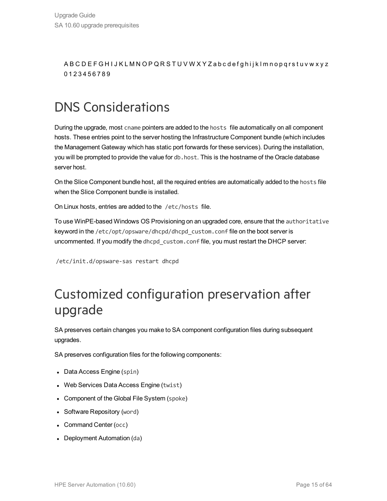A B C D E F G H I J K L M N O P Q R S T U V W X Y Z a b c d e f g h i j k l m n o p q r s t u v w x y z 0 1 2 3 4 5 6 7 8 9

# <span id="page-14-0"></span>DNS Considerations

During the upgrade, most cname pointers are added to the hosts file automatically on all component hosts. These entries point to the server hosting the Infrastructure Component bundle (which includes the Management Gateway which has static port forwards for these services). During the installation, you will be prompted to provide the value for db.host. This is the hostname of the Oracle database server host.

On the Slice Component bundle host, all the required entries are automatically added to the hosts file when the Slice Component bundle is installed.

On Linux hosts, entries are added to the /etc/hosts file.

To use WinPE-based Windows OS Provisioning on an upgraded core, ensure that the authoritative keyword in the /etc/opt/opsware/dhcpd/dhcpd\_custom.conf file on the boot server is uncommented. If you modify the dhcpd custom.conf file, you must restart the DHCP server:

/etc/init.d/opsware-sas restart dhcpd

## <span id="page-14-1"></span>Customized configuration preservation after upgrade

SA preserves certain changes you make to SA component configuration files during subsequent upgrades.

SA preserves configuration files for the following components:

- Data Access Engine (spin)
- Web Services Data Access Engine (twist)
- Component of the Global File System (spoke)
- Software Repository (word)
- Command Center (occ)
- Deployment Automation (da)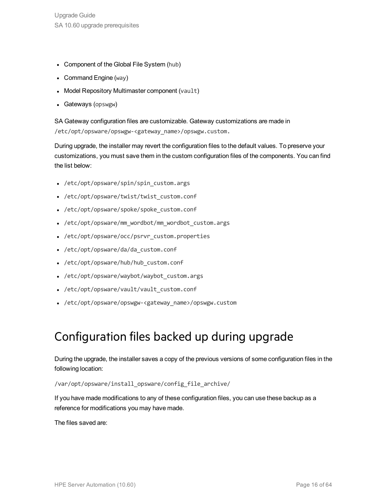- Component of the Global File System (hub)
- Command Engine (way)
- Model Repository Multimaster component (vault)
- Gateways (opswgw)

SA Gateway configuration files are customizable. Gateway customizations are made in /etc/opt/opsware/opswgw-<gateway\_name>/opswgw.custom.

During upgrade, the installer may revert the configuration files to the default values. To preserve your customizations, you must save them in the custom configuration files of the components. You can find the list below:

- /etc/opt/opsware/spin/spin custom.args
- /etc/opt/opsware/twist/twist custom.conf
- /etc/opt/opsware/spoke/spoke custom.conf
- /etc/opt/opsware/mm wordbot/mm wordbot custom.args
- <sup>l</sup> /etc/opt/opsware/occ/psrvr\_custom.properties
- /etc/opt/opsware/da/da custom.conf
- /etc/opt/opsware/hub/hub custom.conf
- /etc/opt/opsware/waybot/waybot custom.args
- /etc/opt/opsware/vault/vault custom.conf
- <sup>l</sup> /etc/opt/opsware/opswgw-<gateway\_name>/opswgw.custom

### Configuration files backed up during upgrade

During the upgrade, the installer saves a copy of the previous versions of some configuration files in the following location:

/var/opt/opsware/install\_opsware/config\_file\_archive/

If you have made modifications to any of these configuration files, you can use these backup as a reference for modifications you may have made.

The files saved are: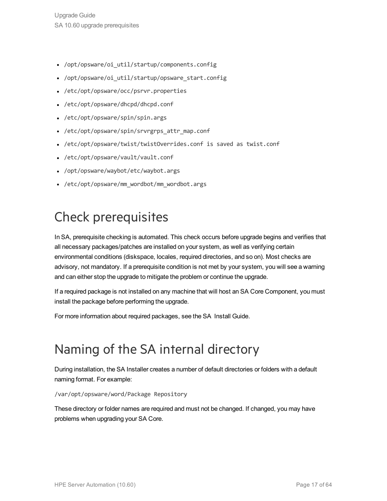- /opt/opsware/oi util/startup/components.config
- /opt/opsware/oi util/startup/opsware start.config
- /etc/opt/opsware/occ/psrvr.properties
- /etc/opt/opsware/dhcpd/dhcpd.conf
- /etc/opt/opsware/spin/spin.args
- /etc/opt/opsware/spin/srvrgrps attr map.conf
- <sup>l</sup> /etc/opt/opsware/twist/twistOverrides.conf is saved as twist.conf
- <sup>l</sup> /etc/opt/opsware/vault/vault.conf
- /opt/opsware/waybot/etc/waybot.args
- /etc/opt/opsware/mm wordbot/mm wordbot.args

# <span id="page-16-0"></span>Check prerequisites

In SA, prerequisite checking is automated. This check occurs before upgrade begins and verifies that all necessary packages/patches are installed on your system, as well as verifying certain environmental conditions (diskspace, locales, required directories, and so on). Most checks are advisory, not mandatory. If a prerequisite condition is not met by your system, you will see a warning and can either stop the upgrade to mitigate the problem or continue the upgrade.

If a required package is not installed on any machine that will host an SA Core Component, you must install the package before performing the upgrade.

For more information about required packages, see the SA Install Guide.

## <span id="page-16-1"></span>Naming of the SA internal directory

During installation, the SA Installer creates a number of default directories or folders with a default naming format. For example:

/var/opt/opsware/word/Package Repository

These directory or folder names are required and must not be changed. If changed, you may have problems when upgrading your SA Core.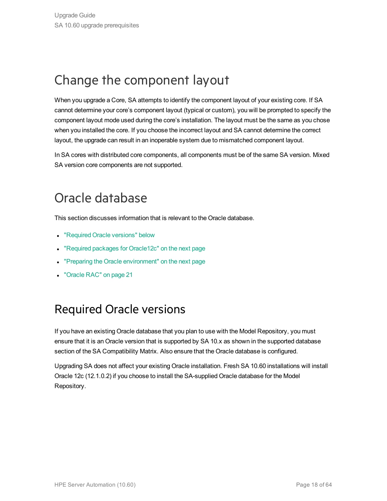# <span id="page-17-0"></span>Change the component layout

When you upgrade a Core, SA attempts to identify the component layout of your existing core. If SA cannot determine your core's component layout (typical or custom), you will be prompted to specify the component layout mode used during the core's installation. The layout must be the same as you chose when you installed the core. If you choose the incorrect layout and SA cannot determine the correct layout, the upgrade can result in an inoperable system due to mismatched component layout.

In SA cores with distributed core components, all components must be of the same SA version. Mixed SA version core components are not supported.

# <span id="page-17-1"></span>Oracle database

This section discusses information that is relevant to the Oracle database.

- ["Required](#page-17-2) Oracle versions" below
- "Required packages for [Oracle12c"](#page-18-0) on the next page
- <sup>l</sup> "Preparing the Oracle [environment"](#page-18-1) on the next page
- <span id="page-17-2"></span>• ["Oracle](#page-20-0) RAC" on page 21

### Required Oracle versions

If you have an existing Oracle database that you plan to use with the Model Repository, you must ensure that it is an Oracle version that is supported by SA 10.x as shown in the supported database section of the SA Compatibility Matrix. Also ensure that the Oracle database is configured.

Upgrading SA does not affect your existing Oracle installation. Fresh SA 10.60 installations will install Oracle 12c (12.1.0.2) if you choose to install the SA-supplied Oracle database for the Model Repository.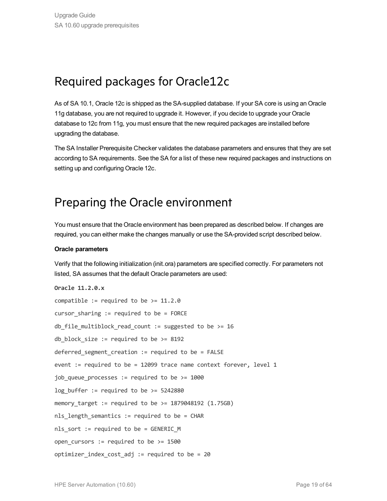### <span id="page-18-0"></span>Required packages for Oracle12c

As of SA 10.1, Oracle 12c is shipped as the SA-supplied database. If your SA core is using an Oracle 11g database, you are not required to upgrade it. However, if you decide to upgrade your Oracle database to 12c from 11g, you must ensure that the new required packages are installed before upgrading the database.

The SA Installer Prerequisite Checker validates the database parameters and ensures that they are set according to SA requirements. See the SA for a list of these new required packages and instructions on setting up and configuring Oracle 12c.

### <span id="page-18-1"></span>Preparing the Oracle environment

You must ensure that the Oracle environment has been prepared as described below. If changes are required, you can either make the changes manually or use the SA-provided script described below.

### **Oracle parameters**

Verify that the following initialization (init.ora) parameters are specified correctly. For parameters not listed, SA assumes that the default Oracle parameters are used:

```
Oracle 11.2.0.x
compatible := required to be >= 11.2.0cursor sharing := required to be = FORCE
db file multiblock read count := suggested to be >= 16
db block size := required to be >= 8192deferred segment creation := required to be = FALSE
event := required to be = 12099 trace name context forever, level 1
job queue processes := required to be >= 1000
log buffer := required to be >= 5242880memory target := required to be >= 1879048192 (1.75GB)
nls length semantics := required to be = CHAR
nls sort := required to be = GENERIC M
open cursors := required to be >= 1500optimizer index cost adj := required to be = 20
```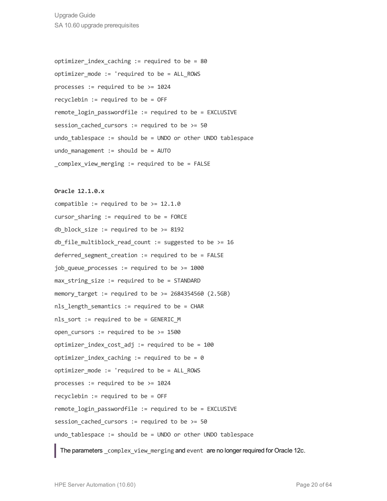Upgrade Guide SA 10.60 upgrade prerequisites

optimizer index caching := required to be =  $80$ optimizer mode := 'required to be = ALL ROWS processes := required to be  $>= 1024$ recyclebin := required to be = OFF remote login passwordfile := required to be = EXCLUSIVE session cached cursors := required to be  $>= 50$ undo tablespace := should be = UNDO or other UNDO tablespace undo management  $:=$  should be = AUTO complex view merging := required to be = FALSE

#### **Oracle 12.1.0.x**

compatible := required to be  $> = 12.1.0$ cursor sharing  $:=$  required to be = FORCE db block size := required to be  $>= 8192$ db file multiblock read count := suggested to be >= 16 deferred segment creation := required to be = FALSE job\_queue\_processes := required to be >= 1000  $max$  string size := required to be = STANDARD memory target := required to be  $>= 2684354560 (2.5GB)$ nls length semantics := required to be = CHAR nls sort := required to be = GENERIC M open cursors  $:=$  required to be  $>= 1500$ optimizer index cost adj := required to be =  $100$ optimizer index caching := required to be = 0 optimizer mode := 'required to be = ALL ROWS processes := required to be  $>= 1024$ recyclebin := required to be = OFF remote login passwordfile := required to be = EXCLUSIVE session cached cursors := required to be  $>= 50$ undo tablespace := should be = UNDO or other UNDO tablespace

The parameters \_complex\_view\_merging and event are no longer required for Oracle 12c.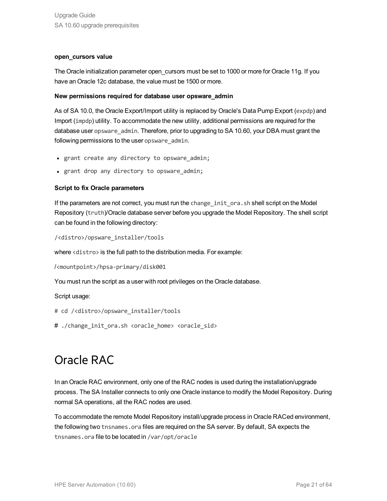### **open\_cursors value**

The Oracle initialization parameter open\_cursors must be set to 1000 or more for Oracle 11g. If you have an Oracle 12c database, the value must be 1500 or more.

### **New permissions required for database user opsware\_admin**

As of SA 10.0, the Oracle Export/Import utility is replaced by Oracle's Data Pump Export (expdp) and Import (impdp) utility. To accommodate the new utility, additional permissions are required for the database user opsware admin. Therefore, prior to upgrading to SA 10.60, your DBA must grant the following permissions to the user opsware admin.

- grant create any directory to opsware admin;
- grant drop any directory to opsware admin;

### **Script to fix Oracle parameters**

If the parameters are not correct, you must run the change init ora.sh shell script on the Model Repository (truth)/Oracle database server before you upgrade the Model Repository. The shell script can be found in the following directory:

```
/<distro>/opsware_installer/tools
```
where <distro> is the full path to the distribution media. For example:

```
/<mountpoint>/hpsa-primary/disk001
```
You must run the script as a user with root privileges on the Oracle database.

Script usage:

- # cd /<distro>/opsware\_installer/tools
- <span id="page-20-0"></span># ./change init ora.sh <oracle home> <oracle sid>

### Oracle RAC

In an Oracle RAC environment, only one of the RAC nodes is used during the installation/upgrade process. The SA Installer connects to only one Oracle instance to modify the Model Repository. During normal SA operations, all the RAC nodes are used.

To accommodate the remote Model Repository install/upgrade process in Oracle RACed environment, the following two tnsnames.ora files are required on the SA server. By default, SA expects the tnsnames.ora file to be located in /var/opt/oracle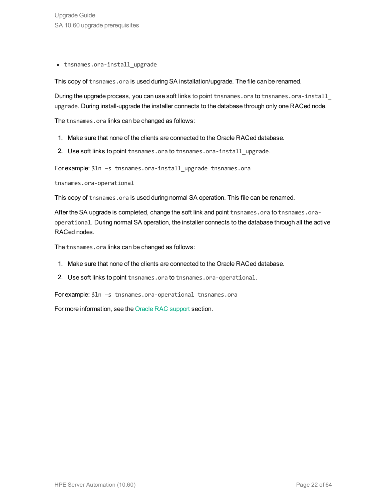• tnsnames.ora-install upgrade

This copy of tnsnames.ora is used during SA installation/upgrade. The file can be renamed.

During the upgrade process, you can use soft links to point tnsnames.ora to tnsnames.ora-install upgrade. During install-upgrade the installer connects to the database through only one RACed node.

The tnsnames.ora links can be changed as follows:

- 1. Make sure that none of the clients are connected to the Oracle RACed database.
- 2. Use soft links to point tnsnames.ora to tnsnames.ora-install upgrade.

For example: \$1n -s tnsnames.ora-install upgrade tnsnames.ora

tnsnames.ora-operational

This copy of tnsnames.ora is used during normal SA operation. This file can be renamed.

After the SA upgrade is completed, change the soft link and point tnsnames.ora to tnsnames.oraoperational. During normal SA operation, the installer connects to the database through all the active RACed nodes.

The tnsnames.ora links can be changed as follows:

- 1. Make sure that none of the clients are connected to the Oracle RACed database.
- 2. Use soft links to point tnsnames.ora to tnsnames.ora-operational.

For example: \$ln –s tnsnames.ora-operational tnsnames.ora

For more information, see the Oracle RAC support section.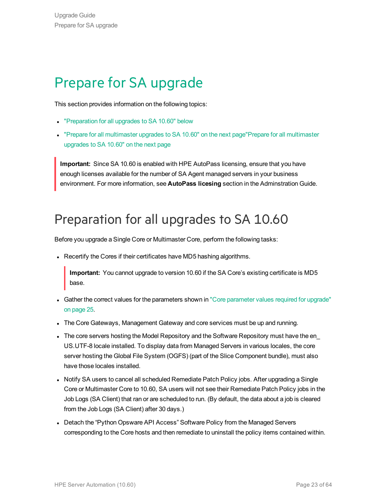# <span id="page-22-0"></span>Prepare for SA upgrade

This section provides information on the following topics:

- ["Preparation](#page-22-1) for all upgrades to SA 10.60" below
- "Prepare for all [multimaster](#page-23-1) upgrades to SA 10.60" on the next page"Prepare for all multimaster [upgrades](#page-23-1) to SA 10.60" on the next page

**Important:** Since SA 10.60 is enabled with HPE AutoPass licensing, ensure that you have enough licenses available for the number of SA Agent managed servers in your business environment. For more information, see **AutoPass licesing** section in the Adminstration Guide.

# <span id="page-22-1"></span>Preparation for all upgrades to SA 10.60

Before you upgrade a Single Core or Multimaster Core, perform the following tasks:

• Recertify the Cores if their certificates have MD5 hashing algorithms.

**Important:** You cannot upgrade to version 10.60 if the SA Core's existing certificate is MD5 base.

- Gather the correct values for the [parameter](#page-24-0)s shown in "Core parameter values required for upgrade" on [page](#page-24-0) 25.
- The Core Gateways, Management Gateway and core services must be up and running.
- The core servers hosting the Model Repository and the Software Repository must have the en\_ US.UTF-8 locale installed. To display data from Managed Servers in various locales, the core server hosting the Global File System (OGFS) (part of the Slice Component bundle), must also have those locales installed.
- Notify SA users to cancel all scheduled Remediate Patch Policy jobs. After upgrading a Single Core or Multimaster Core to 10.60, SA users will not see their Remediate Patch Policy jobs in the Job Logs (SA Client) that ran or are scheduled to run. (By default, the data about a job is cleared from the Job Logs (SA Client) after 30 days.)
- Detach the "Python Opsware API Access" Software Policy from the Managed Servers corresponding to the Core hosts and then remediate to uninstall the policy items contained within.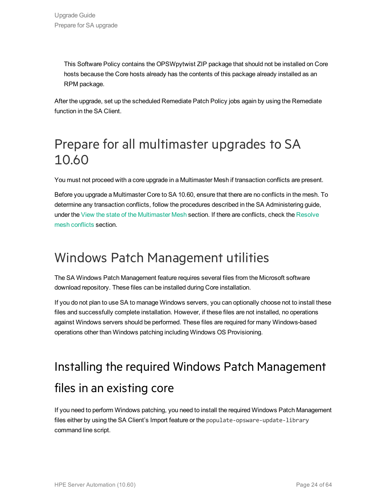This Software Policy contains the OPSWpytwist ZIP package that should not be installed on Core hosts because the Core hosts already has the contents of this package already installed as an RPM package.

<span id="page-23-1"></span>After the upgrade, set up the scheduled Remediate Patch Policy jobs again by using the Remediate function in the SA Client.

# Prepare for all multimaster upgrades to SA 10.60

You must not proceed with a core upgrade in a Multimaster Mesh if transaction conflicts are present.

Before you upgrade a Multimaster Core to SA 10.60, ensure that there are no conflicts in the mesh. To determine any transaction conflicts, follow the procedures described in the SA Administering guide, under the View the state of the Multimaster Mesh section. If there are conflicts, check the Resolve mesh conflicts section.

## <span id="page-23-0"></span>Windows Patch Management utilities

The SA Windows Patch Management feature requires several files from the Microsoft software download repository. These files can be installed during Core installation.

If you do not plan to use SA to manage Windows servers, you can optionally choose not to install these files and successfully complete installation. However, if these files are not installed, no operations against Windows servers should be performed. These files are required for many Windows-based operations other than Windows patching including Windows OS Provisioning.

# Installing the required Windows Patch Management files in an existing core

If you need to perform Windows patching, you need to install the required Windows Patch Management files either by using the SA Client's Import feature or the populate-opsware-update-library command line script.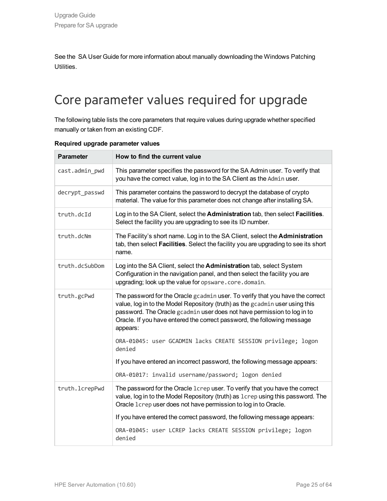See the SA User Guide for more information about manually downloading the Windows Patching Utilities.

# <span id="page-24-0"></span>Core parameter values required for upgrade

The following table lists the core parameters that require values during upgrade whether specified manually or taken from an existing CDF.

| <b>Parameter</b> | How to find the current value                                                                                                                                                                                                                                                                                                   |
|------------------|---------------------------------------------------------------------------------------------------------------------------------------------------------------------------------------------------------------------------------------------------------------------------------------------------------------------------------|
| cast.admin_pwd   | This parameter specifies the password for the SA Admin user. To verify that<br>you have the correct value, log in to the SA Client as the Admin user.                                                                                                                                                                           |
| decrypt_passwd   | This parameter contains the password to decrypt the database of crypto<br>material. The value for this parameter does not change after installing SA.                                                                                                                                                                           |
| truth.dcId       | Log in to the SA Client, select the Administration tab, then select Facilities.<br>Select the facility you are upgrading to see its ID number.                                                                                                                                                                                  |
| truth.dcNm       | The Facility's short name. Log in to the SA Client, select the Administration<br>tab, then select Facilities. Select the facility you are upgrading to see its short<br>name.                                                                                                                                                   |
| truth.dcSubDom   | Log into the SA Client, select the Administration tab, select System<br>Configuration in the navigation panel, and then select the facility you are<br>upgrading; look up the value for opsware.core.domain.                                                                                                                    |
| truth.gcPwd      | The password for the Oracle gcadmin user. To verify that you have the correct<br>value, log in to the Model Repository (truth) as the gcadmin user using this<br>password. The Oracle gcadmin user does not have permission to log in to<br>Oracle. If you have entered the correct password, the following message<br>appears: |
|                  | ORA-01045: user GCADMIN lacks CREATE SESSION privilege; logon<br>denied                                                                                                                                                                                                                                                         |
|                  | If you have entered an incorrect password, the following message appears:                                                                                                                                                                                                                                                       |
|                  | ORA-01017: invalid username/password; logon denied                                                                                                                                                                                                                                                                              |
| truth.lcrepPwd   | The password for the Oracle 1crep user. To verify that you have the correct<br>value, log in to the Model Repository (truth) as 1crep using this password. The<br>Oracle 1crep user does not have permission to log in to Oracle.                                                                                               |
|                  | If you have entered the correct password, the following message appears:                                                                                                                                                                                                                                                        |
|                  | ORA-01045: user LCREP lacks CREATE SESSION privilege; logon<br>denied                                                                                                                                                                                                                                                           |

### **Required upgrade parameter values**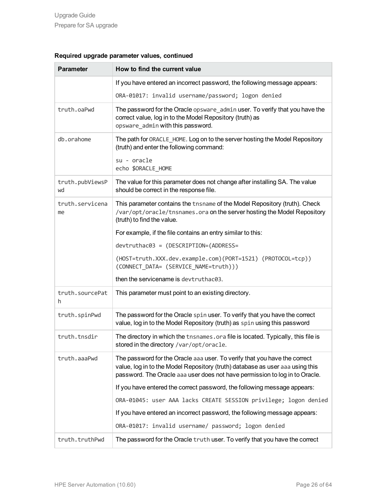| <b>Parameter</b>      | How to find the current value                                                                                                                                                                                                             |
|-----------------------|-------------------------------------------------------------------------------------------------------------------------------------------------------------------------------------------------------------------------------------------|
|                       | If you have entered an incorrect password, the following message appears:                                                                                                                                                                 |
|                       | ORA-01017: invalid username/password; logon denied                                                                                                                                                                                        |
| truth.oaPwd           | The password for the Oracle opsware_admin user. To verify that you have the<br>correct value, log in to the Model Repository (truth) as<br>opsware_admin with this password.                                                              |
| db.orahome            | The path for ORACLE_HOME. Log on to the server hosting the Model Repository<br>(truth) and enter the following command:                                                                                                                   |
|                       | su - oracle<br>echo \$ORACLE_HOME                                                                                                                                                                                                         |
| truth.pubViewsP<br>wd | The value for this parameter does not change after installing SA. The value<br>should be correct in the response file.                                                                                                                    |
| truth.servicena<br>me | This parameter contains the this name of the Model Repository (truth). Check<br>/var/opt/oracle/tnsnames.ora on the server hosting the Model Repository<br>(truth) to find the value.                                                     |
|                       | For example, if the file contains an entry similar to this:                                                                                                                                                                               |
|                       | devtruthac03 = (DESCRIPTION=(ADDRESS=                                                                                                                                                                                                     |
|                       | (HOST=truth.XXX.dev.example.com)(PORT=1521) (PROTOCOL=tcp))<br>(CONNECT DATA= (SERVICE NAME=truth)))                                                                                                                                      |
|                       | then the servicename is devtruthac03.                                                                                                                                                                                                     |
| truth.sourcePat<br>h. | This parameter must point to an existing directory.                                                                                                                                                                                       |
| truth.spinPwd         | The password for the Oracle spin user. To verify that you have the correct<br>value, log in to the Model Repository (truth) as spin using this password                                                                                   |
| truth.tnsdir          | The directory in which the thsnames.ora file is located. Typically, this file is<br>stored in the directory /var/opt/oracle.                                                                                                              |
| truth.aaaPwd          | The password for the Oracle aaa user. To verify that you have the correct<br>value, log in to the Model Repository (truth) database as user aaa using this<br>password. The Oracle aaa user does not have permission to log in to Oracle. |
|                       | If you have entered the correct password, the following message appears:                                                                                                                                                                  |
|                       | ORA-01045: user AAA lacks CREATE SESSION privilege; logon denied                                                                                                                                                                          |
|                       | If you have entered an incorrect password, the following message appears:                                                                                                                                                                 |
|                       | ORA-01017: invalid username/ password; logon denied                                                                                                                                                                                       |
| truth.truthPwd        | The password for the Oracle truth user. To verify that you have the correct                                                                                                                                                               |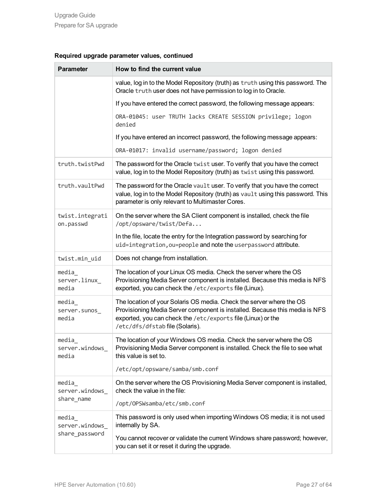| <b>Parameter</b>                       | How to find the current value                                                                                                                                                                                                                          |
|----------------------------------------|--------------------------------------------------------------------------------------------------------------------------------------------------------------------------------------------------------------------------------------------------------|
|                                        | value, log in to the Model Repository (truth) as truth using this password. The<br>Oracle truth user does not have permission to log in to Oracle.                                                                                                     |
|                                        | If you have entered the correct password, the following message appears:                                                                                                                                                                               |
|                                        | ORA-01045: user TRUTH lacks CREATE SESSION privilege; logon<br>denied                                                                                                                                                                                  |
|                                        | If you have entered an incorrect password, the following message appears:                                                                                                                                                                              |
|                                        | ORA-01017: invalid username/password; logon denied                                                                                                                                                                                                     |
| truth.twistPwd                         | The password for the Oracle twist user. To verify that you have the correct<br>value, log in to the Model Repository (truth) as twist using this password.                                                                                             |
| truth.vaultPwd                         | The password for the Oracle vault user. To verify that you have the correct<br>value, log in to the Model Repository (truth) as vault using this password. This<br>parameter is only relevant to Multimaster Cores.                                    |
| twist.integrati<br>on.passwd           | On the server where the SA Client component is installed, check the file<br>/opt/opsware/twist/Defa                                                                                                                                                    |
|                                        | In the file, locate the entry for the Integration password by searching for<br>uid=integration, ou=people and note the userpassword attribute.                                                                                                         |
| twist.min_uid                          | Does not change from installation.                                                                                                                                                                                                                     |
| media<br>server.linux_<br>media        | The location of your Linux OS media. Check the server where the OS<br>Provisioning Media Server component is installed. Because this media is NFS<br>exported, you can check the /etc/exports file (Linux).                                            |
| media<br>server.sunos_<br>media        | The location of your Solaris OS media. Check the server where the OS<br>Provisioning Media Server component is installed. Because this media is NFS<br>exported, you can check the /etc/exports file (Linux) or the<br>/etc/dfs/dfstab file (Solaris). |
| media<br>server.windows_<br>media      | The location of your Windows OS media. Check the server where the OS<br>Provisioning Media Server component is installed. Check the file to see what<br>this value is set to.                                                                          |
|                                        | /etc/opt/opsware/samba/smb.conf                                                                                                                                                                                                                        |
| media<br>server.windows_<br>share_name | On the server where the OS Provisioning Media Server component is installed,<br>check the value in the file:                                                                                                                                           |
|                                        | /opt/OPSWsamba/etc/smb.conf                                                                                                                                                                                                                            |
| media<br>server.windows                | This password is only used when importing Windows OS media; it is not used<br>internally by SA.                                                                                                                                                        |
| share_password                         | You cannot recover or validate the current Windows share password; however,<br>you can set it or reset it during the upgrade.                                                                                                                          |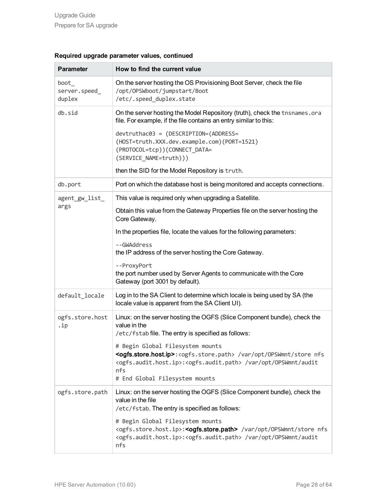| <b>Parameter</b>                 | How to find the current value                                                                                                                                                                                                                                                                    |
|----------------------------------|--------------------------------------------------------------------------------------------------------------------------------------------------------------------------------------------------------------------------------------------------------------------------------------------------|
| boot_<br>server.speed_<br>duplex | On the server hosting the OS Provisioning Boot Server, check the file<br>/opt/0PSWboot/jumpstart/Boot<br>/etc/.speed_duplex.state                                                                                                                                                                |
| db.sid                           | On the server hosting the Model Repository (truth), check the tnsnames.ora<br>file. For example, if the file contains an entry similar to this:                                                                                                                                                  |
|                                  | devtruthac03 = (DESCRIPTION=(ADDRESS=<br>(HOST=truth.XXX.dev.example.com)(PORT=1521)<br>(PROTOCOL=tcp))(CONNECT DATA=<br>(SERVICE_NAME=truth)))                                                                                                                                                  |
|                                  | then the SID for the Model Repository is truth.                                                                                                                                                                                                                                                  |
| db.port                          | Port on which the database host is being monitored and accepts connections.                                                                                                                                                                                                                      |
| agent_gw_list_                   | This value is required only when upgrading a Satellite.                                                                                                                                                                                                                                          |
| args                             | Obtain this value from the Gateway Properties file on the server hosting the<br>Core Gateway.                                                                                                                                                                                                    |
|                                  | In the properties file, locate the values for the following parameters:                                                                                                                                                                                                                          |
|                                  | --GWAddress<br>the IP address of the server hosting the Core Gateway.                                                                                                                                                                                                                            |
|                                  | --ProxyPort<br>the port number used by Server Agents to communicate with the Core<br>Gateway (port 3001 by default).                                                                                                                                                                             |
| default_locale                   | Log in to the SA Client to determine which locale is being used by SA (the<br>locale value is apparent from the SA Client UI).                                                                                                                                                                   |
| ogfs.store.host<br>.ip           | Linux: on the server hosting the OGFS (Slice Component bundle), check the<br>value in the<br>/etc/fstab file. The entry is specified as follows:                                                                                                                                                 |
|                                  | # Begin Global Filesystem mounts<br><ogfs.store.host.ip>:<ogfs.store.path> /var/opt/0PSWmnt/store nfs<br/><ogfs.audit.host.ip>:<ogfs.audit.path> /var/opt/OPSWmnt/audit<br/>nfs<br/># End Global Filesystem mounts</ogfs.audit.path></ogfs.audit.host.ip></ogfs.store.path></ogfs.store.host.ip> |
| ogfs.store.path                  | Linux: on the server hosting the OGFS (Slice Component bundle), check the<br>value in the file<br>/etc/fstab. The entry is specified as follows:                                                                                                                                                 |
|                                  | # Begin Global Filesystem mounts<br><ogfs.store.host.ip>:<ogfs.store.path> /var/opt/OPSWmnt/store nfs<br/><ogfs.audit.host.ip>:<ogfs.audit.path> /var/opt/OPSWmnt/audit<br/>nfs</ogfs.audit.path></ogfs.audit.host.ip></ogfs.store.path></ogfs.store.host.ip>                                    |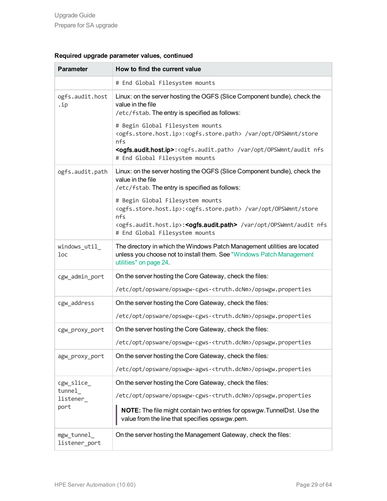| <b>Parameter</b>             | How to find the current value                                                                                                                                                                                                                                                                    |
|------------------------------|--------------------------------------------------------------------------------------------------------------------------------------------------------------------------------------------------------------------------------------------------------------------------------------------------|
|                              | # End Global Filesystem mounts                                                                                                                                                                                                                                                                   |
| ogfs.audit.host<br>.ip       | Linux: on the server hosting the OGFS (Slice Component bundle), check the<br>value in the file<br>/etc/fstab. The entry is specified as follows:                                                                                                                                                 |
|                              | # Begin Global Filesystem mounts<br><ogfs.store.host.ip>:<ogfs.store.path> /var/opt/OPSWmnt/store<br/>nfs<br/><ogfs.audit.host.ip>:<ogfs.audit.path> /var/opt/0PSWmnt/audit nfs<br/># End Global Filesystem mounts</ogfs.audit.path></ogfs.audit.host.ip></ogfs.store.path></ogfs.store.host.ip> |
| ogfs.audit.path              | Linux: on the server hosting the OGFS (Slice Component bundle), check the<br>value in the file<br>/etc/fstab. The entry is specified as follows:                                                                                                                                                 |
|                              | # Begin Global Filesystem mounts<br><ogfs.store.host.ip>:<ogfs.store.path> /var/opt/OPSWmnt/store<br/>nfs<br/><ogfs.audit.host.ip>:<ogfs.audit.path> /var/opt/OPSWmnt/audit nfs<br/># End Global Filesystem mounts</ogfs.audit.path></ogfs.audit.host.ip></ogfs.store.path></ogfs.store.host.ip> |
| windows_util_<br>loc         | The directory in which the Windows Patch Management utilities are located<br>unless you choose not to install them. See "Windows Patch Management<br>utilities" on page 24.                                                                                                                      |
| cgw_admin_port               | On the server hosting the Core Gateway, check the files:                                                                                                                                                                                                                                         |
|                              | /etc/opt/opsware/opswgw-cgws- <truth.dcnm>/opswgw.properties</truth.dcnm>                                                                                                                                                                                                                        |
| cgw_address                  | On the server hosting the Core Gateway, check the files:                                                                                                                                                                                                                                         |
|                              | /etc/opt/opsware/opswgw-cgws- <truth.dcnm>/opswgw.properties</truth.dcnm>                                                                                                                                                                                                                        |
| cgw_proxy_port               | On the server hosting the Core Gateway, check the files:                                                                                                                                                                                                                                         |
|                              | /etc/opt/opsware/opswgw-cgws- <truth.dcnm>/opswgw.properties</truth.dcnm>                                                                                                                                                                                                                        |
| agw proxy port               | On the server hosting the Core Gateway, check the files:                                                                                                                                                                                                                                         |
|                              | /etc/opt/opsware/opswgw-agws- <truth.dcnm>/opswgw.properties</truth.dcnm>                                                                                                                                                                                                                        |
| cgw_slice_                   | On the server hosting the Core Gateway, check the files:                                                                                                                                                                                                                                         |
| tunnel_<br>listener          | /etc/opt/opsware/opswgw-cgws- <truth.dcnm>/opswgw.properties</truth.dcnm>                                                                                                                                                                                                                        |
| port                         | <b>NOTE:</b> The file might contain two entries for opswgw. Tunnel Dst. Use the<br>value from the line that specifies opswgw.pem.                                                                                                                                                                |
| mgw_tunnel_<br>listener_port | On the server hosting the Management Gateway, check the files:                                                                                                                                                                                                                                   |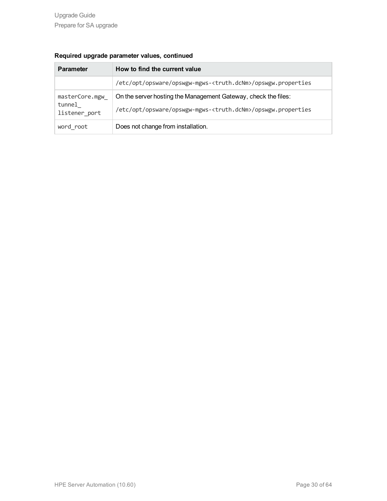| <b>Parameter</b>                          | How to find the current value                                                                                                               |
|-------------------------------------------|---------------------------------------------------------------------------------------------------------------------------------------------|
|                                           | /etc/opt/opsware/opswgw-mgws- <truth.dcnm>/opswgw.properties</truth.dcnm>                                                                   |
| masterCore.mgw<br>tunnel<br>listener port | On the server hosting the Management Gateway, check the files:<br>/etc/opt/opsware/opswgw-mgws- <truth.dcnm>/opswgw.properties</truth.dcnm> |
| word root                                 | Does not change from installation.                                                                                                          |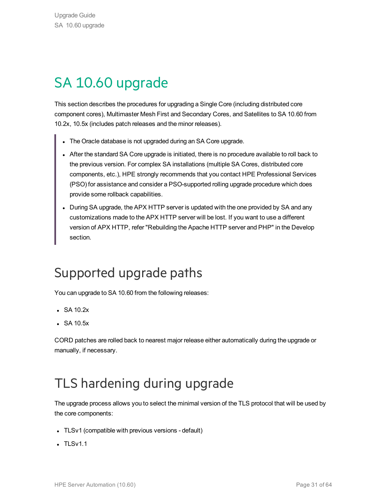# <span id="page-30-0"></span>SA 10.60 upgrade

This section describes the procedures for upgrading a Single Core (including distributed core component cores), Multimaster Mesh First and Secondary Cores, and Satellites to SA 10.60 from 10.2x, 10.5x (includes patch releases and the minor releases).

- The Oracle database is not upgraded during an SA Core upgrade.
- After the standard SA Core upgrade is initiated, there is no procedure available to roll back to the previous version. For complex SA installations (multiple SA Cores, distributed core components, etc.), HPE strongly recommends that you contact HPE Professional Services (PSO) for assistance and consider a PSO-supported rolling upgrade procedure which does provide some rollback capabilities.
- During SA upgrade, the APX HTTP server is updated with the one provided by SA and any customizations made to the APX HTTP server will be lost. If you want to use a different version of APX HTTP, refer "Rebuilding the Apache HTTP server and PHP" in the Develop section.

# <span id="page-30-1"></span>Supported upgrade paths

You can upgrade to SA 10.60 from the following releases:

- $\cdot$  SA 10.2x
- $\cdot$  SA 10.5x

CORD patches are rolled back to nearest major release either automatically during the upgrade or manually, if necessary.

# <span id="page-30-2"></span>TLS hardening during upgrade

The upgrade process allows you to select the minimal version of the TLS protocol that will be used by the core components:

- TLSv1 (compatible with previous versions default)
- $\cdot$  TLSv1.1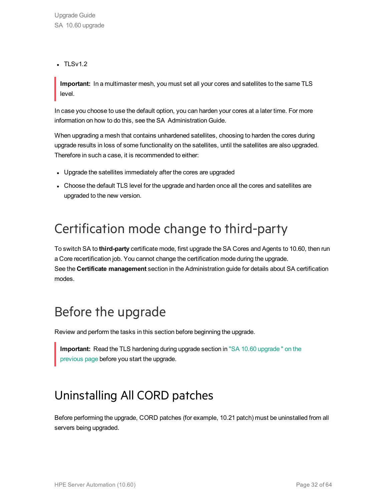$\cdot$  TLSv1.2

**Important:** In a multimaster mesh, you must set all your cores and satellites to the same TLS level.

In case you choose to use the default option, you can harden your cores at a later time. For more information on how to do this, see the SA Administration Guide.

When upgrading a mesh that contains unhardened satellites, choosing to harden the cores during upgrade results in loss of some functionality on the satellites, until the satellites are also upgraded. Therefore in such a case, it is recommended to either:

- Upgrade the satellites immediately after the cores are upgraded
- Choose the default TLS level for the upgrade and harden once all the cores and satellites are upgraded to the new version.

# <span id="page-31-0"></span>Certification mode change to third-party

To switch SA to **third-party** certificate mode, first upgrade the SA Cores and Agents to 10.60, then run a Core recertification job. You cannot change the certification mode during the upgrade. See the **Certificate management** section in the Administration guide for details about SA certification modes.

# <span id="page-31-1"></span>Before the upgrade

Review and perform the tasks in this section before beginning the upgrade.

<span id="page-31-2"></span>**Important:** Read the TLS hardening during upgrade section in "SA 10.60 [upgrade](#page-30-0) " on the [previous](#page-30-0) page before you start the upgrade.

# Uninstalling All CORD patches

Before performing the upgrade, CORD patches (for example, 10.21 patch) must be uninstalled from all servers being upgraded.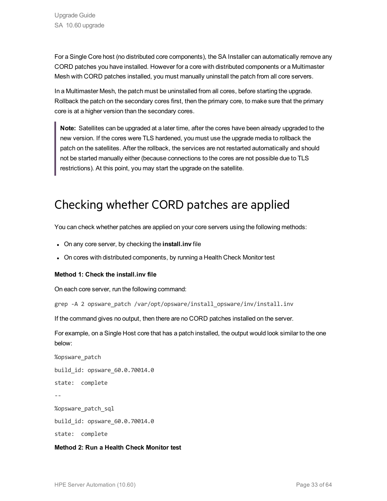For a Single Core host (no distributed core components), the SA Installer can automatically remove any CORD patches you have installed. However for a core with distributed components or a Multimaster Mesh with CORD patches installed, you must manually uninstall the patch from all core servers.

In a Multimaster Mesh, the patch must be uninstalled from all cores, before starting the upgrade. Rollback the patch on the secondary cores first, then the primary core, to make sure that the primary core is at a higher version than the secondary cores.

**Note:** Satellites can be upgraded at a later time, after the cores have been already upgraded to the new version. If the cores were TLS hardened, you must use the upgrade media to rollback the patch on the satellites. After the rollback, the services are not restarted automatically and should not be started manually either (because connections to the cores are not possible due to TLS restrictions). At this point, you may start the upgrade on the satellite.

### Checking whether CORD patches are applied

You can check whether patches are applied on your core servers using the following methods:

- **.** On any core server, by checking the **install.inv** file
- On cores with distributed components, by running a Health Check Monitor test

### **Method 1: Check the install.inv file**

On each core server, run the following command:

grep -A 2 opsware patch /var/opt/opsware/install opsware/inv/install.inv

If the command gives no output, then there are no CORD patches installed on the server.

For example, on a Single Host core that has a patch installed, the output would look similar to the one below:

%opsware\_patch build\_id: opsware\_60.0.70014.0 state: complete -- %opsware\_patch\_sql build\_id: opsware\_60.0.70014.0 state: complete

**Method 2: Run a Health Check Monitor test**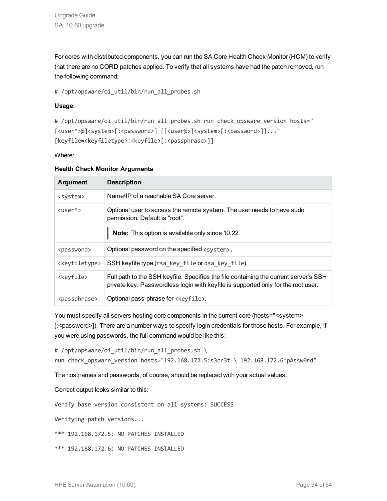For cores with distributed components, you can run the SA Core Health Check Monitor (HCM) to verify that there are no CORD patches applied. To verify that all systems have had the patch removed, run the following command:

# /opt/opsware/oi util/bin/run all probes.sh

### **Usage**:

```
# /opt/opsware/oi util/bin/run all probes.sh run check opsware version hosts="
[<user*>@]<system>[:<password>] [[<user@>]<system>[:<password>]]..."
[keyfile=<keyfiletype>:<keyfile>[:<passphrase>]]
```
Where:

| <b>Argument</b>             | <b>Description</b>                                                                                                                                                        |
|-----------------------------|---------------------------------------------------------------------------------------------------------------------------------------------------------------------------|
| <system></system>           | Name/IP of a reachable SA Core server.                                                                                                                                    |
| $\langle$ user $*\rangle$   | Optional user to access the remote system. The user needs to have sudo<br>permission. Default is "root".<br>Note: This option is available only since 10.22.              |
| <password></password>       | Optional password on the specified <system>.</system>                                                                                                                     |
| <keyfiletype></keyfiletype> | SSH keyfile type (rsa_key_file or dsa_key_file).                                                                                                                          |
| <keyfile></keyfile>         | Full path to the SSH keyfile. Specifies the file containing the current server's SSH<br>private key. Passwordless login with keyfile is supported only for the root user. |
| <passphrase></passphrase>   | Optional pass-phrase for <keyfile>.</keyfile>                                                                                                                             |

### **Health Check Monitor Arguments**

You must specify all servers hosting core components in the current core (hosts="<system> [:<password>]). There are a number ways to specify login credentials for those hosts. For example, if you were using passwords, the full command would be like this:

# /opt/opsware/oi util/bin/run all probes.sh \

run check\_opsware\_version hosts="192.168.172.5:s3cr3t \ 192.168.172.6:pAssw0rd"

The hostnames and passwords, of course, should be replaced with your actual values.

Correct output looks similar to this:

Verify base version consistent on all systems: SUCCESS

Verifying patch versions...

\*\*\* 192.168.172.5: NO PATCHES INSTALLED

\*\*\* 192.168.172.6: NO PATCHES INSTALLED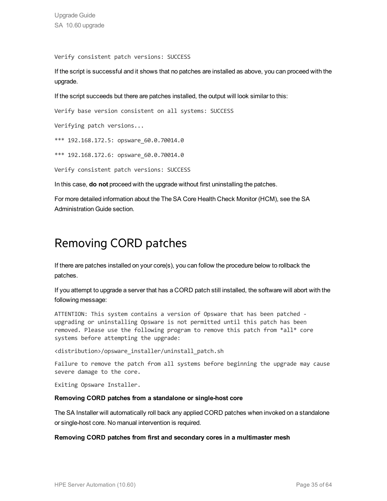Upgrade Guide SA 10.60 upgrade

Verify consistent patch versions: SUCCESS

If the script is successful and it shows that no patches are installed as above, you can proceed with the upgrade.

If the script succeeds but there are patches installed, the output will look similar to this:

Verify base version consistent on all systems: SUCCESS

Verifying patch versions...

\*\*\* 192.168.172.5: opsware\_60.0.70014.0

\*\*\* 192.168.172.6: opsware 60.0.70014.0

Verify consistent patch versions: SUCCESS

In this case, **do not** proceed with the upgrade without first uninstalling the patches.

<span id="page-34-0"></span>For more detailed information about the The SA Core Health Check Monitor (HCM), see the SA Administration Guide section.

### Removing CORD patches

If there are patches installed on your core(s), you can follow the procedure below to rollback the patches.

If you attempt to upgrade a server that has a CORD patch still installed, the software will abort with the following message:

ATTENTION: This system contains a version of Opsware that has been patched upgrading or uninstalling Opsware is not permitted until this patch has been removed. Please use the following program to remove this patch from \*all\* core systems before attempting the upgrade:

<distribution>/opsware\_installer/uninstall\_patch.sh

Failure to remove the patch from all systems before beginning the upgrade may cause severe damage to the core.

Exiting Opsware Installer.

#### **Removing CORD patches from a standalone or single-host core**

The SA Installer will automatically roll back any applied CORD patches when invoked on a standalone or single-host core. No manual intervention is required.

#### **Removing CORD patches from first and secondary cores in a multimaster mesh**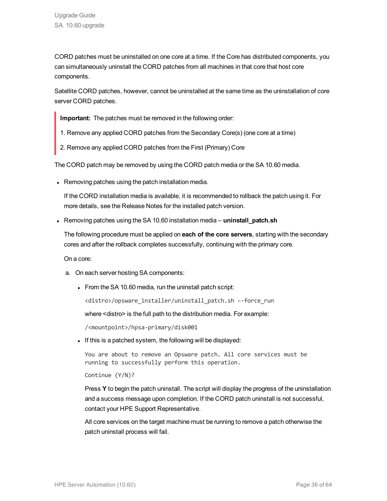CORD patches must be uninstalled on one core at a time. If the Core has distributed components, you can simultaneously uninstall the CORD patches from all machines in that core that host core components.

Satellite CORD patches, however, cannot be uninstalled at the same time as the uninstallation of core server CORD patches.

**Important:** The patches must be removed in the following order:

- 1. Remove any applied CORD patches from the Secondary Core(s) (one core at a time)
- 2. Remove any applied CORD patches from the First (Primary) Core

The CORD patch may be removed by using the CORD patch media or the SA 10.60 media.

• Removing patches using the patch installation media.

If the CORD installation media is available, it is recommended to rollback the patch using it. For more details, see the Release Notes for the installed patch version.

**Examoving patches using the SA 10.60 installation media – uninstall\_patch.sh** 

The following procedure must be applied on **each of the core servers**, starting with the secondary cores and after the rollback completes successfully, continuing with the primary core.

On a core:

- a. On each server hosting SA components:
	- $\bullet$  From the SA 10.60 media, run the uninstall patch script:

<distro>/opsware\_installer/uninstall\_patch.sh –-force\_run

where <distro> is the full path to the distribution media. For example:

/<mountpoint>/hpsa-primary/disk001

• If this is a patched system, the following will be displayed:

You are about to remove an Opsware patch. All core services must be running to successfully perform this operation.

Continue (Y/N)?

Press **Y** to begin the patch uninstall. The script will display the progress of the uninstallation and a success message upon completion. If the CORD patch uninstall is not successful, contact your HPE Support Representative.

All core services on the target machine must be running to remove a patch otherwise the patch uninstall process will fail.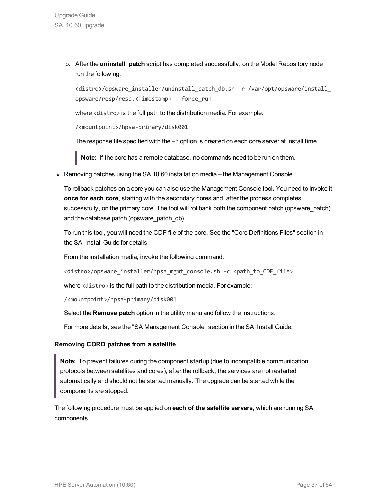b. After the **uninstall\_patch** script has completed successfully, on the Model Repository node run the following:

<distro>/opsware\_installer/uninstall\_patch\_db.sh –r /var/opt/opsware/install\_ opsware/resp/resp.<Timestamp> -–force\_run

where <distro> is the full path to the distribution media. For example:

/<mountpoint>/hpsa-primary/disk001

The response file specified with the  $-r$  option is created on each core server at install time.

**Note:** If the core has a remote database, no commands need to be run on them.

• Removing patches using the SA 10.60 installation media – the Management Console

To rollback patches on a core you can also use the Management Console tool. You need to invoke it **once for each core**, starting with the secondary cores and, after the process completes successfully, on the primary core. The tool will rollback both the component patch (opsware\_patch) and the database patch (opsware\_patch\_db).

To run this tool, you will need the CDF file of the core. See the "Core Definitions Files" section in the SA Install Guide for details.

From the installation media, invoke the following command:

<distro>/opsware\_installer/hpsa\_mgmt\_console.sh -c <path\_to\_CDF\_file>

where <distro> is the full path to the distribution media. For example:

/<mountpoint>/hpsa-primary/disk001

Select the **Remove patch** option in the utility menu and follow the instructions.

For more details, see the "SA Management Console" section in the SA Install Guide.

### **Removing CORD patches from a satellite**

**Note:** To prevent failures during the component startup (due to incompatible communication protocols between satellites and cores), after the rollback, the services are not restarted automatically and should not be started manually. The upgrade can be started while the components are stopped.

The following procedure must be applied on **each of the satellite servers**, which are running SA components.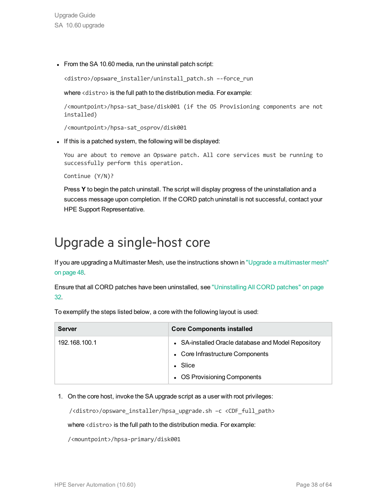Upgrade Guide SA 10.60 upgrade

• From the SA 10.60 media, run the uninstall patch script:

<distro>/opsware\_installer/uninstall\_patch.sh –-force\_run

where <distro> is the full path to the distribution media. For example:

/<mountpoint>/hpsa-sat\_base/disk001 (if the OS Provisioning components are not installed)

/<mountpoint>/hpsa-sat\_osprov/disk001

If this is a patched system, the following will be displayed:

You are about to remove an Opsware patch. All core services must be running to successfully perform this operation.

Continue (Y/N)?

Press **Y** to begin the patch uninstall. The script will display progress of the uninstallation and a success message upon completion. If the CORD patch uninstall is not successful, contact your HPE Support Representative.

### <span id="page-37-0"></span>Upgrade a single-host core

If you are upgrading a Multimaster Mesh, use the instructions shown in "Upgrade a [multimaster](#page-47-0) mesh" on [page](#page-47-0) 48.

Ensure that all CORD patches have been uninstalled, see ["Uninstalling](#page-31-2) All CORD patches" on page [32.](#page-31-2)

| <b>Server</b> | <b>Core Components installed</b>                                                                                                           |
|---------------|--------------------------------------------------------------------------------------------------------------------------------------------|
| 192.168.100.1 | • SA-installed Oracle database and Model Repository<br>• Core Infrastructure Components<br>$\bullet$ Slice<br>• OS Provisioning Components |

To exemplify the steps listed below, a core with the following layout is used:

1. On the core host, invoke the SA upgrade script as a user with root privileges:

/<distro>/opsware\_installer/hpsa\_upgrade.sh –c <CDF\_full\_path>

where <distro> is the full path to the distribution media. For example:

/<mountpoint>/hpsa-primary/disk001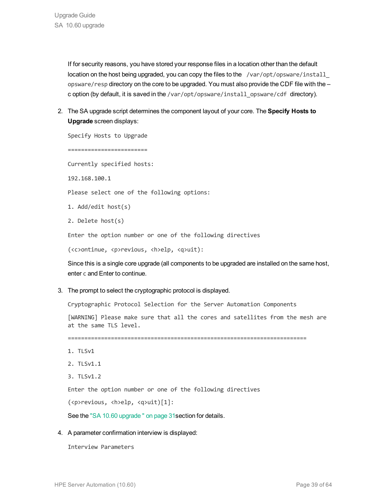If for security reasons, you have stored your response files in a location other than the default location on the host being upgraded, you can copy the files to the /var/opt/opsware/install opsware/resp directory on the core to be upgraded. You must also provide the CDF file with the – c option (by default, it is saved in the /var/opt/opsware/install\_opsware/cdf directory).

2. The SA upgrade script determines the component layout of your core. The **Specify Hosts to Upgrade** screen displays:

Specify Hosts to Upgrade ======================== Currently specified hosts: 192.168.100.1 Please select one of the following options: 1. Add/edit host(s) 2. Delete host(s) Enter the option number or one of the following directives (<c>ontinue, <p>revious, <h>elp, <q>uit): Since this is a single core upgrade (all components to be upgraded are installed on the same host, enter c and Enter to continue. 3. The prompt to select the cryptographic protocol is displayed. Cryptographic Protocol Selection for the Server Automation Components

[WARNING] Please make sure that all the cores and satellites from the mesh are at the same TLS level.

========================================================================

- 1. TLSv1
- 2. TLSv1.1
- 3. TLSv1.2

Enter the option number or one of the following directives

(<p>revious, <h>elp, <q>uit)[1]:

See the "SA 10.60 [upgrade](#page-30-0) " on page 31section for details.

### 4. A parameter confirmation interview is displayed:

Interview Parameters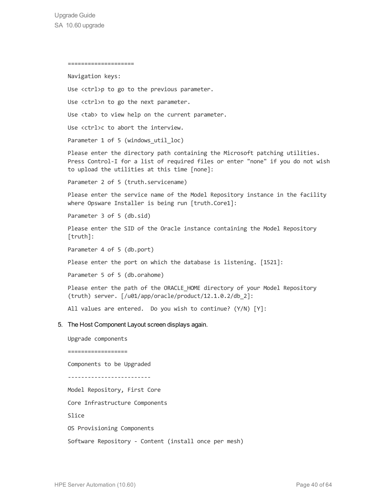==================== Navigation keys: Use <ctrl>p to go to the previous parameter. Use <ctrl>n to go the next parameter. Use <tab> to view help on the current parameter. Use <ctrl>c to abort the interview. Parameter 1 of 5 (windows util loc) Please enter the directory path containing the Microsoft patching utilities. Press Control-I for a list of required files or enter "none" if you do not wish to upload the utilities at this time [none]: Parameter 2 of 5 (truth.servicename) Please enter the service name of the Model Repository instance in the facility where Opsware Installer is being run [truth.Core1]: Parameter 3 of 5 (db.sid) Please enter the SID of the Oracle instance containing the Model Repository [truth]: Parameter 4 of 5 (db.port) Please enter the port on which the database is listening. [1521]: Parameter 5 of 5 (db.orahome) Please enter the path of the ORACLE HOME directory of your Model Repository (truth) server. [/u01/app/oracle/product/12.1.0.2/db\_2]: All values are entered. Do you wish to continue? (Y/N) [Y]: 5. The Host Component Layout screen displays again. Upgrade components ================== Components to be Upgraded ------------------------- Model Repository, First Core Core Infrastructure Components Slice OS Provisioning Components Software Repository - Content (install once per mesh)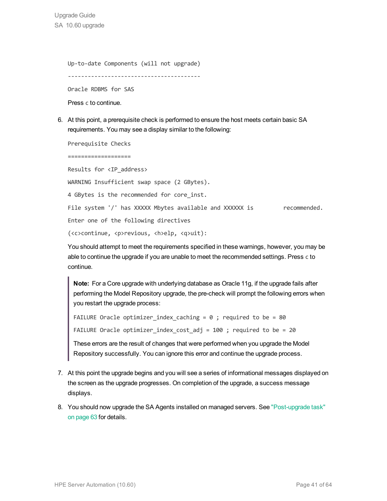Upgrade Guide SA 10.60 upgrade

> Up-to-date Components (will not upgrade) ---------------------------------------- Oracle RDBMS for SAS Press c to continue.

6. At this point, a prerequisite check is performed to ensure the host meets certain basic SA requirements. You may see a display similar to the following:

Prerequisite Checks

===================

Results for <IP\_address>

WARNING Insufficient swap space (2 GBytes). 4 GBytes is the recommended for core inst.

File system '/' has XXXXX Mbytes available and XXXXXX is recommended.

Enter one of the following directives

(<c>continue, <p>revious, <h>elp, <q>uit):

You should attempt to meet the requirements specified in these warnings, however, you may be able to continue the upgrade if you are unable to meet the recommended settings. Press c to continue.

**Note:** For a Core upgrade with underlying database as Oracle 11g, if the upgrade fails after performing the Model Repository upgrade, the pre-check will prompt the following errors when you restart the upgrade process:

```
FAILURE Oracle optimizer index caching = 0 ; required to be = 80
```
FAILURE Oracle optimizer\_index\_cost\_adj = 100 ; required to be = 20

These errors are the result of changes that were performed when you upgrade the Model Repository successfully. You can ignore this error and continue the upgrade process.

- 7. At this point the upgrade begins and you will see a series of informational messages displayed on the screen as the upgrade progresses. On completion of the upgrade, a success message displays.
- 8. You should now upgrade the SA Agents installed on managed servers. See ["Post-upgrade](#page-62-0) task" on [page](#page-62-0) 63 for details.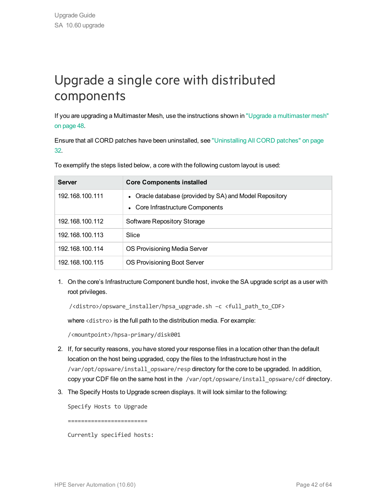# <span id="page-41-0"></span>Upgrade a single core with distributed components

If you are upgrading a Multimaster Mesh, use the instructions shown in "Upgrade a [multimaster](#page-47-0) mesh" on [page](#page-47-0) 48.

Ensure that all CORD patches have been uninstalled, see ["Uninstalling](#page-31-2) All CORD patches" on page [32.](#page-31-2)

| <b>Server</b>   | <b>Core Components installed</b>                                                            |
|-----------------|---------------------------------------------------------------------------------------------|
| 192.168.100.111 | • Oracle database (provided by SA) and Model Repository<br>• Core Infrastructure Components |
| 192.168.100.112 | Software Repository Storage                                                                 |
| 192.168.100.113 | Slice                                                                                       |
| 192.168.100.114 | OS Provisioning Media Server                                                                |
| 192.168.100.115 | OS Provisioning Boot Server                                                                 |

To exemplify the steps listed below, a core with the following custom layout is used:

1. On the core's Infrastructure Component bundle host, invoke the SA upgrade script as a user with root privileges.

/<distro>/opsware\_installer/hpsa\_upgrade.sh –c <full\_path\_to\_CDF>

where <distro> is the full path to the distribution media. For example:

/<mountpoint>/hpsa-primary/disk001

- 2. If, for security reasons, you have stored your response files in a location other than the default location on the host being upgraded, copy the files to the Infrastructure host in the /var/opt/opsware/install\_opsware/resp directory for the core to be upgraded. In addition, copy your CDF file on the same host in the /var/opt/opsware/install\_opsware/cdf directory.
- 3. The Specify Hosts to Upgrade screen displays. It will look similar to the following:

Specify Hosts to Upgrade

========================

Currently specified hosts: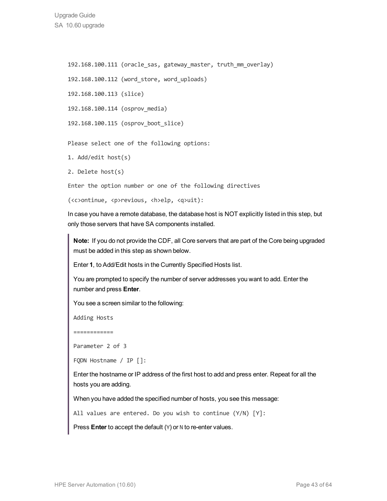192.168.100.111 (oracle sas, gateway master, truth mm overlay)

192.168.100.112 (word\_store, word\_uploads)

192.168.100.113 (slice)

192.168.100.114 (osprov\_media)

192.168.100.115 (osprov\_boot\_slice)

Please select one of the following options:

- 1. Add/edit host(s)
- 2. Delete host(s)

Enter the option number or one of the following directives

(<c>ontinue, <p>revious, <h>elp, <q>uit):

In case you have a remote database, the database host is NOT explicitly listed in this step, but only those servers that have SA components installed.

**Note:** If you do not provide the CDF, all Core servers that are part of the Core being upgraded must be added in this step as shown below.

Enter **1**, to Add/Edit hosts in the Currently Specified Hosts list.

You are prompted to specify the number of server addresses you want to add. Enter the number and press **Enter**.

You see a screen similar to the following:

Adding Hosts

============

Parameter 2 of 3

FQDN Hostname / IP []:

Enter the hostname or IP address of the first host to add and press enter. Repeat for all the hosts you are adding.

When you have added the specified number of hosts, you see this message:

All values are entered. Do you wish to continue (Y/N) [Y]:

Press **Enter** to accept the default (Y) or N to re-enter values.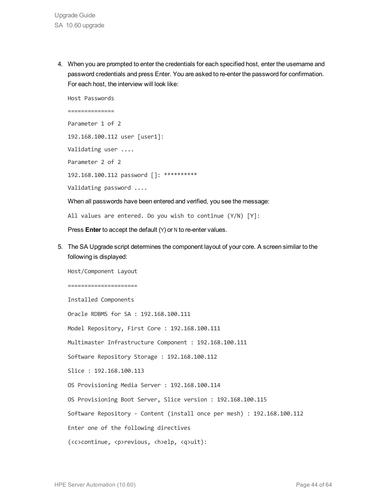4. When you are prompted to enter the credentials for each specified host, enter the username and password credentials and press Enter. You are asked to re-enter the password for confirmation. For each host, the interview will look like:

```
Host Passwords
==============
Parameter 1 of 2
192.168.100.112 user [user1]:
Validating user ....
Parameter 2 of 2
192.168.100.112 password []: **********
Validating password ....
```
When all passwords have been entered and verified, you see the message:

All values are entered. Do you wish to continue (Y/N) [Y]:

Press **Enter** to accept the default (Y) or N to re-enter values.

5. The SA Upgrade script determines the component layout of your core. A screen similar to the following is displayed:

Host/Component Layout

=====================

Installed Components Oracle RDBMS for SA : 192.168.100.111 Model Repository, First Core : 192.168.100.111 Multimaster Infrastructure Component : 192.168.100.111 Software Repository Storage : 192.168.100.112 Slice : 192.168.100.113 OS Provisioning Media Server : 192.168.100.114 OS Provisioning Boot Server, Slice version : 192.168.100.115 Software Repository - Content (install once per mesh) : 192.168.100.112 Enter one of the following directives (<c>continue, <p>revious, <h>elp, <q>uit):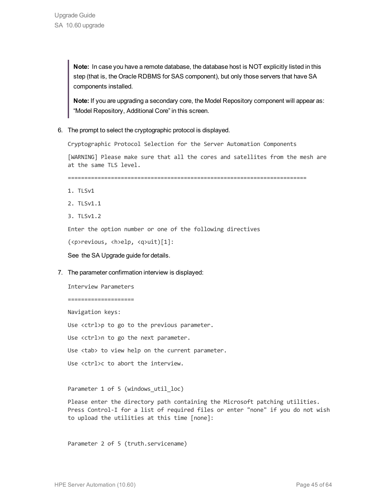**Note:** In case you have a remote database, the database host is NOT explicitly listed in this step (that is, the Oracle RDBMS for SAS component), but only those servers that have SA components installed.

**Note:** If you are upgrading a secondary core, the Model Repository component will appear as: "Model Repository, Additional Core" in this screen.

6. The prompt to select the cryptographic protocol is displayed.

Cryptographic Protocol Selection for the Server Automation Components

[WARNING] Please make sure that all the cores and satellites from the mesh are at the same TLS level.

========================================================================

- 1. TLSv1
- 2. TLSv1.1
- 3. TLSv1.2

Enter the option number or one of the following directives

(<p>revious, <h>elp, <q>uit)[1]:

See the SA Upgrade guide for details.

7. The parameter confirmation interview is displayed:

Interview Parameters

==================== Navigation keys: Use <ctrl>p to go to the previous parameter.

Use <ctrl>n to go the next parameter.

Use <tab> to view help on the current parameter.

Use <ctrl>c to abort the interview.

Parameter 1 of 5 (windows util loc)

Please enter the directory path containing the Microsoft patching utilities. Press Control-I for a list of required files or enter "none" if you do not wish to upload the utilities at this time [none]:

Parameter 2 of 5 (truth.servicename)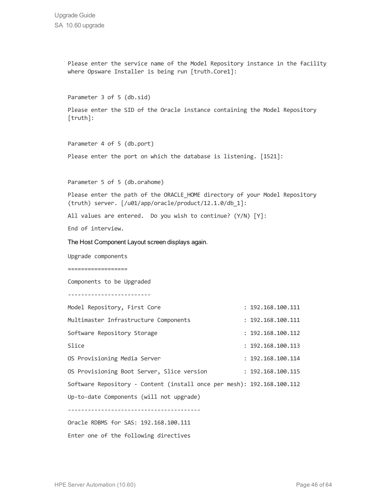Please enter the service name of the Model Repository instance in the facility where Opsware Installer is being run [truth.Core1]: Parameter 3 of 5 (db.sid) Please enter the SID of the Oracle instance containing the Model Repository [truth]: Parameter 4 of 5 (db.port) Please enter the port on which the database is listening. [1521]: Parameter 5 of 5 (db.orahome) Please enter the path of the ORACLE HOME directory of your Model Repository (truth) server. [/u01/app/oracle/product/12.1.0/db\_1]: All values are entered. Do you wish to continue? (Y/N) [Y]: End of interview. The Host Component Layout screen displays again. Upgrade components ================== Components to be Upgraded ------------------------- Model Repository, First Core : 192.168.100.111 Multimaster Infrastructure Components : 192.168.100.111 Software Repository Storage : 192.168.100.112 Slice : 192.168.100.113 OS Provisioning Media Server : 192.168.100.114 OS Provisioning Boot Server, Slice version : 192.168.100.115 Software Repository - Content (install once per mesh): 192.168.100.112 Up-to-date Components (will not upgrade) ---------------------------------------- Oracle RDBMS for SAS: 192.168.100.111 Enter one of the following directives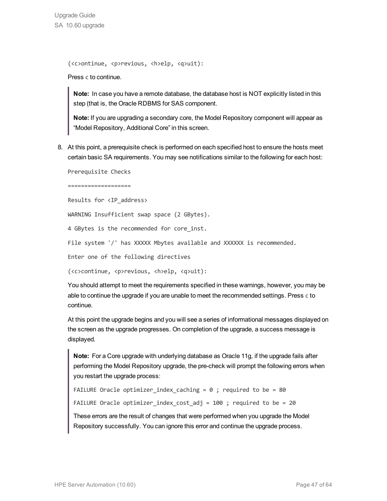Upgrade Guide SA 10.60 upgrade

(<c>ontinue, <p>revious, <h>elp, <q>uit):

#### Press c to continue.

**Note:** In case you have a remote database, the database host is NOT explicitly listed in this step (that is, the Oracle RDBMS for SAS component.

**Note:** If you are upgrading a secondary core, the Model Repository component will appear as "Model Repository, Additional Core" in this screen.

8. At this point, a prerequisite check is performed on each specified host to ensure the hosts meet certain basic SA requirements. You may see notifications similar to the following for each host:

Prerequisite Checks

===================

Results for <IP\_address>

WARNING Insufficient swap space (2 GBytes).

4 GBytes is the recommended for core inst.

File system '/' has XXXXX Mbytes available and XXXXXX is recommended.

Enter one of the following directives

(<c>continue, <p>revious, <h>elp, <q>uit):

You should attempt to meet the requirements specified in these warnings, however, you may be able to continue the upgrade if you are unable to meet the recommended settings. Press c to continue.

At this point the upgrade begins and you will see a series of informational messages displayed on the screen as the upgrade progresses. On completion of the upgrade, a success message is displayed.

**Note:** For a Core upgrade with underlying database as Oracle 11g, if the upgrade fails after performing the Model Repository upgrade, the pre-check will prompt the following errors when you restart the upgrade process:

```
FAILURE Oracle optimizer index caching = 0 ; required to be = 80
FAILURE Oracle optimizer index cost adj = 100 ; required to be = 20
```
These errors are the result of changes that were performed when you upgrade the Model Repository successfully. You can ignore this error and continue the upgrade process.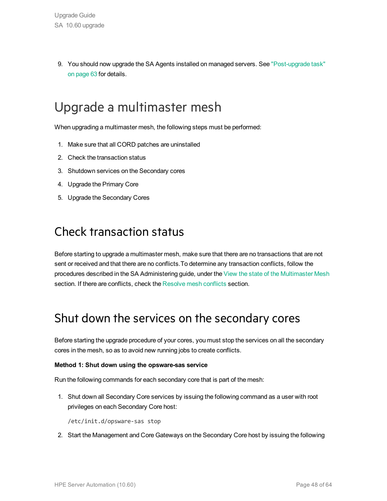9. You should now upgrade the SA Agents installed on managed servers. See ["Post-upgrade](#page-62-0) task" on [page](#page-62-0) 63 for details.

## <span id="page-47-0"></span>Upgrade a multimaster mesh

When upgrading a multimaster mesh, the following steps must be performed:

- 1. Make sure that all CORD patches are uninstalled
- 2. Check the transaction status
- 3. Shutdown services on the Secondary cores
- 4. Upgrade the Primary Core
- <span id="page-47-1"></span>5. Upgrade the Secondary Cores

### Check transaction status

Before starting to upgrade a multimaster mesh, make sure that there are no transactions that are not sent or received and that there are no conflicts.To determine any transaction conflicts, follow the procedures described in the SA Administering guide, under the View the state of the Multimaster Mesh section. If there are conflicts, check the Resolve mesh conflicts section.

### <span id="page-47-2"></span>Shut down the services on the secondary cores

Before starting the upgrade procedure of your cores, you must stop the services on all the secondary cores in the mesh, so as to avoid new running jobs to create conflicts.

### **Method 1: Shut down using the opsware-sas service**

Run the following commands for each secondary core that is part of the mesh:

1. Shut down all Secondary Core services by issuing the following command as a user with root privileges on each Secondary Core host:

/etc/init.d/opsware-sas stop

2. Start the Management and Core Gateways on the Secondary Core host by issuing the following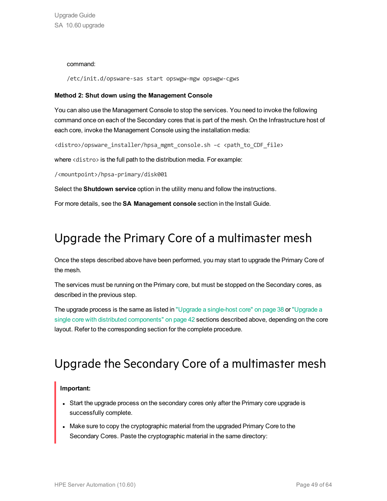### command:

/etc/init.d/opsware-sas start opswgw-mgw opswgw-cgws

### **Method 2: Shut down using the Management Console**

You can also use the Management Console to stop the services. You need to invoke the following command once on each of the Secondary cores that is part of the mesh. On the Infrastructure host of each core, invoke the Management Console using the installation media:

<distro>/opsware\_installer/hpsa\_mgmt\_console.sh –c <path\_to\_CDF\_file>

where <distro> is the full path to the distribution media. For example:

/<mountpoint>/hpsa-primary/disk001

Select the **Shutdown service** option in the utility menu and follow the instructions.

<span id="page-48-0"></span>For more details, see the **SA Management console** section in the Install Guide.

### Upgrade the Primary Core of a multimaster mesh

Once the steps described above have been performed, you may start to upgrade the Primary Core of the mesh.

The services must be running on the Primary core, but must be stopped on the Secondary cores, as described in the previous step.

The upgrade process is the same as listed in "Upgrade a [single-host](#page-37-0) core" on page 38 or ["Upgrade](#page-41-0) a single core with distributed [components"](#page-41-0) on page 42 sections described above, depending on the core layout. Refer to the corresponding section for the complete procedure.

### <span id="page-48-1"></span>Upgrade the Secondary Core of a multimaster mesh

### **Important:**

- Start the upgrade process on the secondary cores only after the Primary core upgrade is successfully complete.
- Make sure to copy the cryptographic material from the upgraded Primary Core to the Secondary Cores. Paste the cryptographic material in the same directory: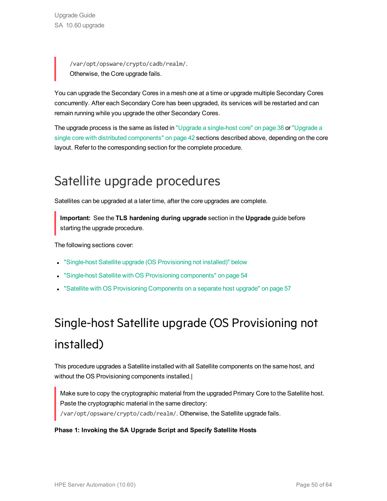/var/opt/opsware/crypto/cadb/realm/. Otherwise, the Core upgrade fails.

You can upgrade the Secondary Cores in a mesh one at a time or upgrade multiple Secondary Cores concurrently. After each Secondary Core has been upgraded, its services will be restarted and can remain running while you upgrade the other Secondary Cores.

The upgrade process is the same as listed in "Upgrade a [single-host](#page-37-0) core" on page 38 or ["Upgrade](#page-41-0) a single core with distributed [components"](#page-41-0) on page 42 sections described above, depending on the core layout. Refer to the corresponding section for the complete procedure.

## <span id="page-49-0"></span>Satellite upgrade procedures

Satellites can be upgraded at a later time, after the core upgrades are complete.

**Important:** See the **TLS hardening during upgrade** section in the **Upgrade** guide before starting the upgrade procedure.

The following sections cover:

- "Single-host Satellite upgrade (OS [Provisioning](#page-49-1) not installed)" below
- <span id="page-49-1"></span>"Single-host Satellite with OS Provisioning [components"](#page-53-0) on page 54
- "Satellite with OS Provisioning [Components](#page-56-0) on a separate host upgrade" on page 57

# Single-host Satellite upgrade (OS Provisioning not installed)

This procedure upgrades a Satellite installed with all Satellite components on the same host, and without the OS Provisioning components installed.

Make sure to copy the cryptographic material from the upgraded Primary Core to the Satellite host. Paste the cryptographic material in the same directory: /var/opt/opsware/crypto/cadb/realm/. Otherwise, the Satellite upgrade fails.

### **Phase 1: Invoking the SA Upgrade Script and Specify Satellite Hosts**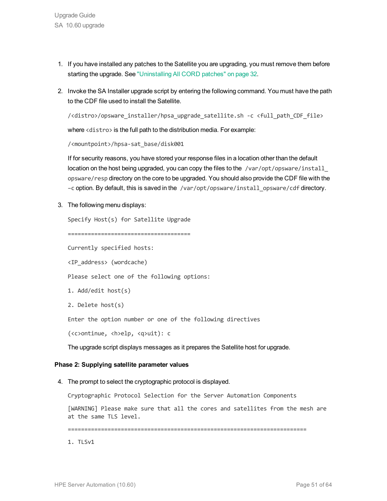- 1. If you have installed any patches to the Satellite you are upgrading, you must remove them before starting the upgrade. See ["Uninstalling](#page-31-2) All CORD patches" on page 32.
- 2. Invoke the SA Installer upgrade script by entering the following command. You must have the path to the CDF file used to install the Satellite.

```
/<distro>/opsware_installer/hpsa_upgrade_satellite.sh -c <full_path_CDF_file>
```
where <distro> is the full path to the distribution media. For example:

```
/<mountpoint>/hpsa-sat_base/disk001
```
If for security reasons, you have stored your response files in a location other than the default location on the host being upgraded, you can copy the files to the  $/var/opt/opsware/install$ opsware/resp directory on the core to be upgraded. You should also provide the CDF file with the –c option. By default, this is saved in the /var/opt/opsware/install\_opsware/cdf directory.

3. The following menu displays:

```
Specify Host(s) for Satellite Upgrade
=====================================
Currently specified hosts:
<IP_address> (wordcache)
Please select one of the following options:
1. Add/edit host(s)
2. Delete host(s)
Enter the option number or one of the following directives
(<c>ontinue, <h>elp, <q>uit): c
The upgrade script displays messages as it prepares the Satellite host for upgrade.
```
### **Phase 2: Supplying satellite parameter values**

4. The prompt to select the cryptographic protocol is displayed.

Cryptographic Protocol Selection for the Server Automation Components

[WARNING] Please make sure that all the cores and satellites from the mesh are at the same TLS level.

========================================================================

1. TLSv1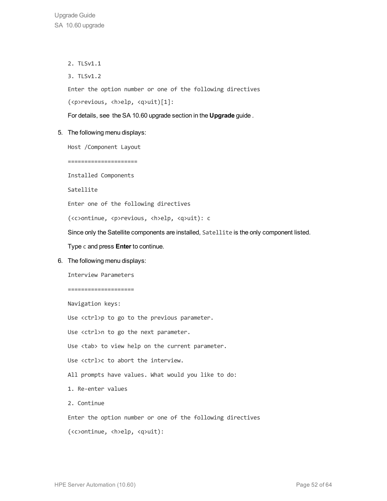- 2. TLSv1.1
- 3. TLSv1.2

Enter the option number or one of the following directives

(<p>revious, <h>elp, <q>uit)[1]:

For details, see the SA 10.60 upgrade section in the **Upgrade** guide .

5. The following menu displays:

Host /Component Layout

======================

Installed Components

Satellite

Enter one of the following directives

(<c>ontinue, <p>revious, <h>elp, <q>uit): c

Since only the Satellite components are installed, Satellite is the only component listed.

Type c and press **Enter** to continue.

6. The following menu displays:

Interview Parameters

====================

Navigation keys: Use <ctrl>p to go to the previous parameter. Use <ctrl>n to go the next parameter. Use <tab> to view help on the current parameter. Use <ctrl>c to abort the interview. All prompts have values. What would you like to do: 1. Re-enter values 2. Continue Enter the option number or one of the following directives

(<c>ontinue, <h>elp, <q>uit):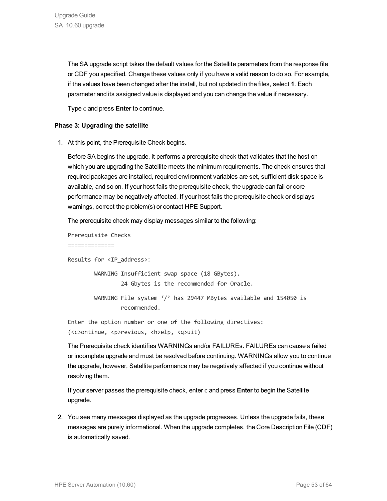The SA upgrade script takes the default values for the Satellite parameters from the response file or CDF you specified. Change these values only if you have a valid reason to do so. For example, if the values have been changed after the install, but not updated in the files, select **1**. Each parameter and its assigned value is displayed and you can change the value if necessary.

Type c and press **Enter** to continue.

### **Phase 3: Upgrading the satellite**

1. At this point, the Prerequisite Check begins.

Before SA begins the upgrade, it performs a prerequisite check that validates that the host on which you are upgrading the Satellite meets the minimum requirements. The check ensures that required packages are installed, required environment variables are set, sufficient disk space is available, and so on. If your host fails the prerequisite check, the upgrade can fail or core performance may be negatively affected. If your host fails the prerequisite check or displays warnings, correct the problem(s) or contact HPE Support.

The prerequisite check may display messages similar to the following:

Prerequisite Checks

==============

Results for <IP\_address>: WARNING Insufficient swap space (18 GBytes). 24 Gbytes is the recommended for Oracle. WARNING File system '/' has 29447 MBytes available and 154050 is recommended.

Enter the option number or one of the following directives: (<c>ontinue, <p>revious, <h>elp, <q>uit)

The Prerequisite check identifies WARNINGs and/or FAILUREs. FAILUREs can cause a failed or incomplete upgrade and must be resolved before continuing. WARNINGs allow you to continue the upgrade, however, Satellite performance may be negatively affected if you continue without resolving them.

If your server passes the prerequisite check, enter c and press **Enter** to begin the Satellite upgrade.

2. You see many messages displayed as the upgrade progresses. Unless the upgrade fails, these messages are purely informational. When the upgrade completes, the Core Description File (CDF) is automatically saved.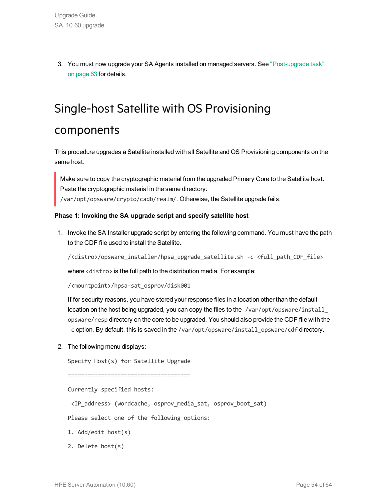<span id="page-53-0"></span>3. You must now upgrade your SA Agents installed on managed servers. See ["Post-upgrade](#page-62-0) task" on [page](#page-62-0) 63 for details.

# Single-host Satellite with OS Provisioning components

This procedure upgrades a Satellite installed with all Satellite and OS Provisioning components on the same host.

Make sure to copy the cryptographic material from the upgraded Primary Core to the Satellite host. Paste the cryptographic material in the same directory: /var/opt/opsware/crypto/cadb/realm/. Otherwise, the Satellite upgrade fails.

### **Phase 1: Invoking the SA upgrade script and specify satellite host**

1. Invoke the SA Installer upgrade script by entering the following command. You must have the path to the CDF file used to install the Satellite.

/<distro>/opsware\_installer/hpsa\_upgrade\_satellite.sh -c <full\_path\_CDF\_file>

where <distro> is the full path to the distribution media. For example:

/<mountpoint>/hpsa-sat\_osprov/disk001

If for security reasons, you have stored your response files in a location other than the default location on the host being upgraded, you can copy the files to the /var/opt/opsware/install opsware/resp directory on the core to be upgraded. You should also provide the CDF file with the –c option. By default, this is saved in the /var/opt/opsware/install\_opsware/cdf directory.

2. The following menu displays:

Specify Host(s) for Satellite Upgrade

=====================================

Currently specified hosts:

<IP\_address> (wordcache, osprov\_media\_sat, osprov\_boot\_sat)

Please select one of the following options:

- 1. Add/edit host(s)
- 2. Delete host(s)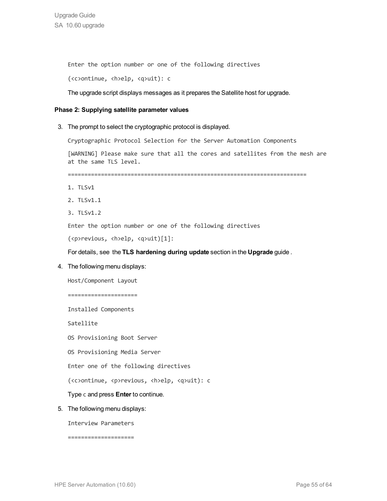Enter the option number or one of the following directives

(<c>ontinue, <h>elp, <q>uit): c

The upgrade script displays messages as it prepares the Satellite host for upgrade.

#### **Phase 2: Supplying satellite parameter values**

3. The prompt to select the cryptographic protocol is displayed.

Cryptographic Protocol Selection for the Server Automation Components

[WARNING] Please make sure that all the cores and satellites from the mesh are at the same TLS level.

========================================================================

- 1. TLSv1
- 2. TLSv1.1
- 3. TLSv1.2

Enter the option number or one of the following directives

(<p>revious, <h>elp, <q>uit)[1]:

For details, see the **TLS hardening during update** section in the **Upgrade** guide .

4. The following menu displays:

Host/Component Layout ===================== Installed Components Satellite OS Provisioning Boot Server OS Provisioning Media Server Enter one of the following directives (<c>ontinue, <p>revious, <h>elp, <q>uit): c Type c and press **Enter** to continue. 5. The following menu displays: Interview Parameters ====================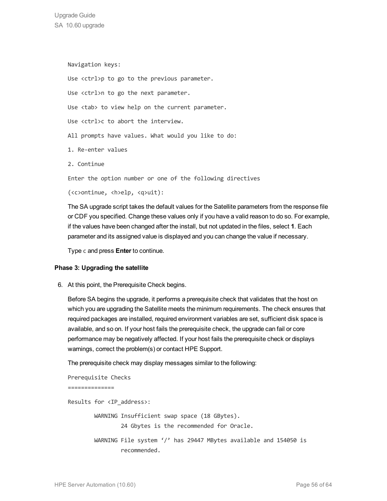Upgrade Guide SA 10.60 upgrade

> Navigation keys: Use <ctrl>p to go to the previous parameter. Use <ctrl>n to go the next parameter. Use <tab> to view help on the current parameter. Use <ctrl>c to abort the interview. All prompts have values. What would you like to do: 1. Re-enter values 2. Continue Enter the option number or one of the following directives (<c>ontinue, <h>elp, <q>uit):

The SA upgrade script takes the default values for the Satellite parameters from the response file or CDF you specified. Change these values only if you have a valid reason to do so. For example, if the values have been changed after the install, but not updated in the files, select **1**. Each parameter and its assigned value is displayed and you can change the value if necessary.

Type c and press **Enter** to continue.

### **Phase 3: Upgrading the satellite**

6. At this point, the Prerequisite Check begins.

Before SA begins the upgrade, it performs a prerequisite check that validates that the host on which you are upgrading the Satellite meets the minimum requirements. The check ensures that required packages are installed, required environment variables are set, sufficient disk space is available, and so on. If your host fails the prerequisite check, the upgrade can fail or core performance may be negatively affected. If your host fails the prerequisite check or displays warnings, correct the problem(s) or contact HPE Support.

The prerequisite check may display messages similar to the following:

Prerequisite Checks ==============

Results for <IP\_address>: WARNING Insufficient swap space (18 GBytes). 24 Gbytes is the recommended for Oracle. WARNING File system '/' has 29447 MBytes available and 154050 is recommended.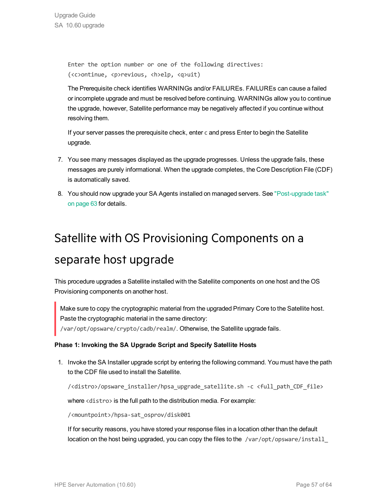Enter the option number or one of the following directives: (<c>ontinue, <p>revious, <h>elp, <q>uit)

The Prerequisite check identifies WARNINGs and/or FAILUREs. FAILUREs can cause a failed or incomplete upgrade and must be resolved before continuing. WARNINGs allow you to continue the upgrade, however, Satellite performance may be negatively affected if you continue without resolving them.

If your server passes the prerequisite check, enter c and press Enter to begin the Satellite upgrade.

- 7. You see many messages displayed as the upgrade progresses. Unless the upgrade fails, these messages are purely informational. When the upgrade completes, the Core Description File (CDF) is automatically saved.
- <span id="page-56-0"></span>8. You should now upgrade your SA Agents installed on managed servers. See ["Post-upgrade](#page-62-0) task" on [page](#page-62-0) 63 for details.

# Satellite with OS Provisioning Components on a separate host upgrade

This procedure upgrades a Satellite installed with the Satellite components on one host and the OS Provisioning components on another host.

Make sure to copy the cryptographic material from the upgraded Primary Core to the Satellite host. Paste the cryptographic material in the same directory:

/var/opt/opsware/crypto/cadb/realm/. Otherwise, the Satellite upgrade fails.

### **Phase 1: Invoking the SA Upgrade Script and Specify Satellite Hosts**

1. Invoke the SA Installer upgrade script by entering the following command. You must have the path to the CDF file used to install the Satellite.

/<distro>/opsware\_installer/hpsa\_upgrade\_satellite.sh -c <full\_path\_CDF\_file>

where <distro> is the full path to the distribution media. For example:

/<mountpoint>/hpsa-sat\_osprov/disk001

If for security reasons, you have stored your response files in a location other than the default location on the host being upgraded, you can copy the files to the /var/opt/opsware/install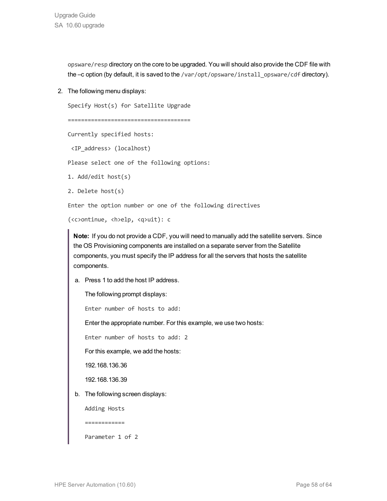Upgrade Guide SA 10.60 upgrade

> opsware/resp directory on the core to be upgraded. You will should also provide the CDF file with the -c option (by default, it is saved to the /var/opt/opsware/install\_opsware/cdf directory).

2. The following menu displays:

Specify Host(s) for Satellite Upgrade

```
=====================================
```
Currently specified hosts:

<IP\_address> (localhost)

Please select one of the following options:

1. Add/edit host(s)

2. Delete host(s)

Enter the option number or one of the following directives

```
(<c>ontinue, <h>elp, <q>uit): c
```
**Note:** If you do not provide a CDF, you will need to manually add the satellite servers. Since the OS Provisioning components are installed on a separate server from the Satellite components, you must specify the IP address for all the servers that hosts the satellite components.

a. Press 1 to add the host IP address.

The following prompt displays:

Enter number of hosts to add:

Enter the appropriate number. For this example, we use two hosts:

Enter number of hosts to add: 2

For this example, we add the hosts:

192.168.136.36

192.168.136.39

b. The following screen displays:

Adding Hosts

============

Parameter 1 of 2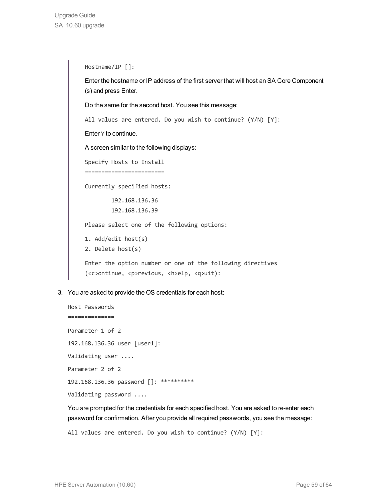Hostname/IP []: Enter the hostname or IP address of the first server that will host an SA Core Component (s) and press Enter. Do the same for the second host. You see this message: All values are entered. Do you wish to continue? (Y/N) [Y]: Enter Y to continue. A screen similar to the following displays: Specify Hosts to Install ======================== Currently specified hosts: 192.168.136.36 192.168.136.39 Please select one of the following options: 1. Add/edit host(s) 2. Delete host(s) Enter the option number or one of the following directives (<c>ontinue, <p>revious, <h>elp, <q>uit):

3. You are asked to provide the OS credentials for each host:

```
Host Passwords
==============
Parameter 1 of 2
192.168.136.36 user [user1]:
Validating user ....
Parameter 2 of 2
192.168.136.36 password []: **********
Validating password ....
```
You are prompted for the credentials for each specified host. You are asked to re-enter each password for confirmation. After you provide all required passwords, you see the message:

All values are entered. Do you wish to continue? (Y/N) [Y]: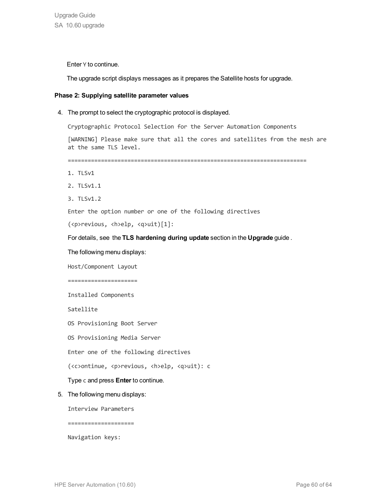Enter Y to continue.

The upgrade script displays messages as it prepares the Satellite hosts for upgrade.

### **Phase 2: Supplying satellite parameter values**

4. The prompt to select the cryptographic protocol is displayed.

Cryptographic Protocol Selection for the Server Automation Components

[WARNING] Please make sure that all the cores and satellites from the mesh are at the same TLS level.

========================================================================

- 1. TLSv1
- 2. TLSv1.1
- 3. TLSv1.2

Enter the option number or one of the following directives

```
(<p>revious, <h>elp, <q>uit)[1]:
```
For details, see the **TLS hardening during update** section in the **Upgrade** guide .

The following menu displays:

Host/Component Layout

=====================

Installed Components

Satellite

OS Provisioning Boot Server

OS Provisioning Media Server

Enter one of the following directives

(<c>ontinue, <p>revious, <h>elp, <q>uit): c

### Type c and press **Enter** to continue.

5. The following menu displays:

Interview Parameters

====================

Navigation keys: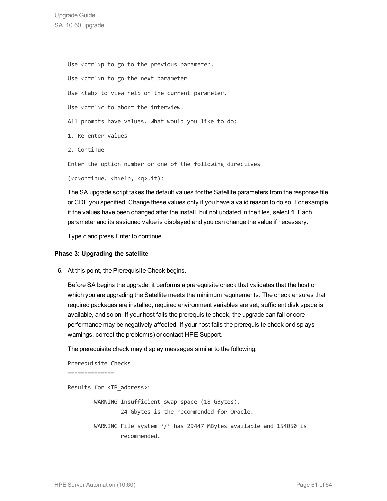Use <ctrl>p to go to the previous parameter. Use <ctrl>n to go the next parameter. Use <tab> to view help on the current parameter. Use <ctrl>c to abort the interview. All prompts have values. What would you like to do: 1. Re-enter values 2. Continue Enter the option number or one of the following directives (<c>ontinue, <h>elp, <q>uit):

The SA upgrade script takes the default values for the Satellite parameters from the response file or CDF you specified. Change these values only if you have a valid reason to do so. For example, if the values have been changed after the install, but not updated in the files, select **1**. Each parameter and its assigned value is displayed and you can change the value if necessary.

Type c and press Enter to continue.

### **Phase 3: Upgrading the satellite**

6. At this point, the Prerequisite Check begins.

Before SA begins the upgrade, it performs a prerequisite check that validates that the host on which you are upgrading the Satellite meets the minimum requirements. The check ensures that required packages are installed, required environment variables are set, sufficient disk space is available, and so on. If your host fails the prerequisite check, the upgrade can fail or core performance may be negatively affected. If your host fails the prerequisite check or displays warnings, correct the problem(s) or contact HPE Support.

The prerequisite check may display messages similar to the following:

```
Prerequisite Checks
==============
Results for <IP_address>:
         WARNING Insufficient swap space (18 GBytes).
                                   24 Gbytes is the recommended for Oracle.
                 WARNING File system '/' has 29447 MBytes available and 154050 is
                                   recommended.
```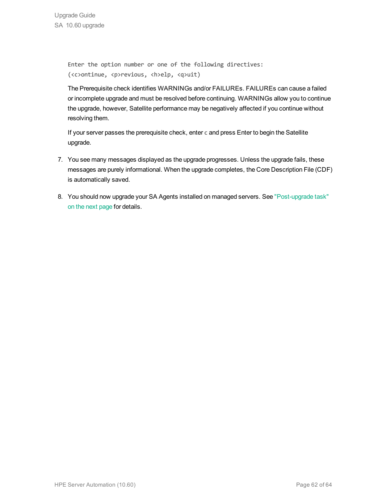Enter the option number or one of the following directives: (<c>ontinue, <p>revious, <h>elp, <q>uit)

The Prerequisite check identifies WARNINGs and/or FAILUREs. FAILUREs can cause a failed or incomplete upgrade and must be resolved before continuing. WARNINGs allow you to continue the upgrade, however, Satellite performance may be negatively affected if you continue without resolving them.

If your server passes the prerequisite check, enter c and press Enter to begin the Satellite upgrade.

- 7. You see many messages displayed as the upgrade progresses. Unless the upgrade fails, these messages are purely informational. When the upgrade completes, the Core Description File (CDF) is automatically saved.
- 8. You should now upgrade your SA Agents installed on managed servers. See ["Post-upgrade](#page-62-0) task" on the next [page](#page-62-0) for details.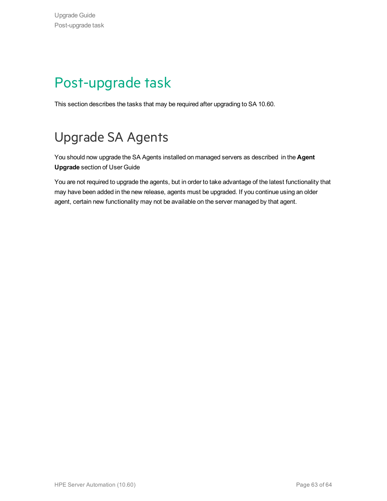# <span id="page-62-0"></span>Post-upgrade task

This section describes the tasks that may be required after upgrading to SA 10.60.

# <span id="page-62-1"></span>Upgrade SA Agents

You should now upgrade the SA Agents installed on managed servers as described in the **Agent Upgrade** section of User Guide

You are not required to upgrade the agents, but in order to take advantage of the latest functionality that may have been added in the new release, agents must be upgraded. If you continue using an older agent, certain new functionality may not be available on the server managed by that agent.